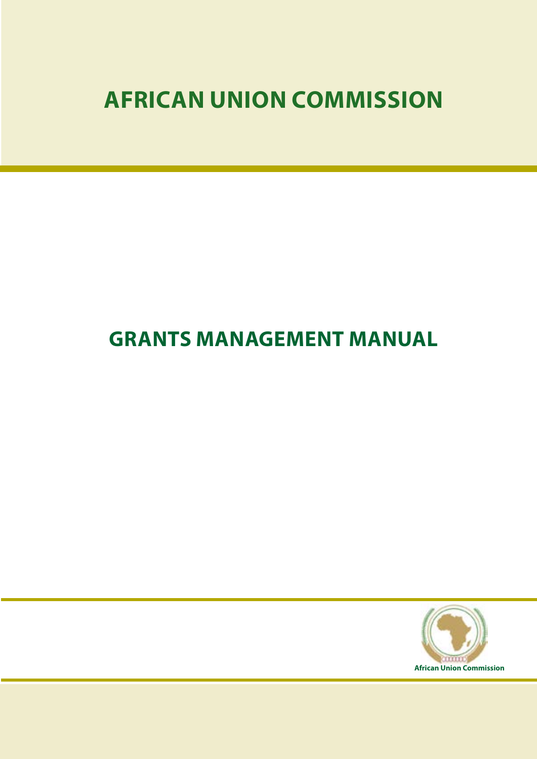# **AFRICAN UNION Commission**

## **GRANTS MANAGEMENT MANUAL**

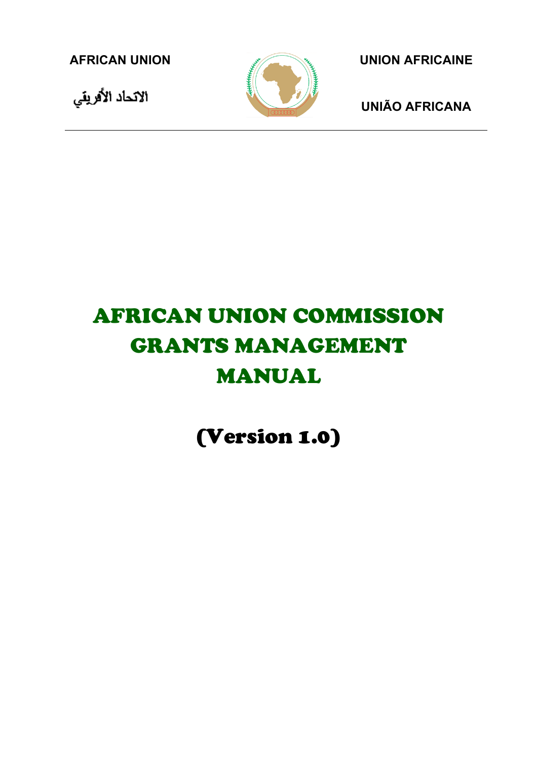الاتحاد الأفريقي



**AFRICAN UNION UNION AFRICAINE**

**UNIÃO AFRICANA**

# AFRICAN UNION COMMISSION GRANTS MANAGEMENT MANUAL

(Version 1.0)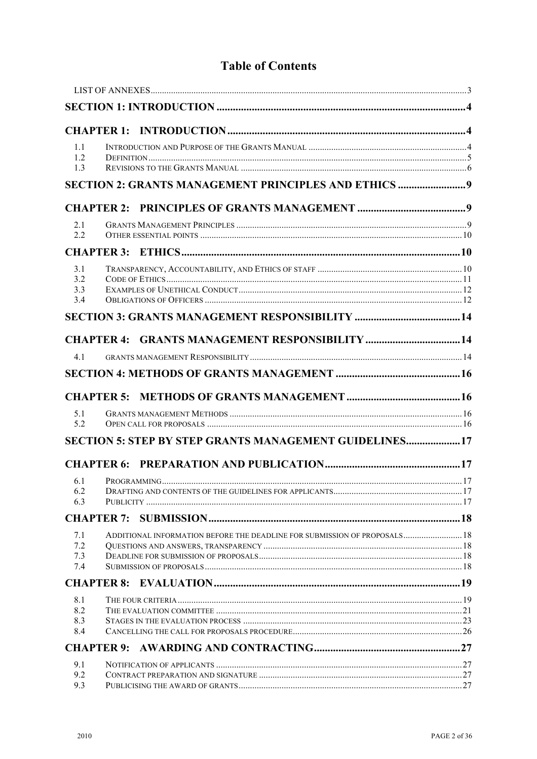## **Table of Contents**

|            | <b>CHAPTER 1:</b>                                                         |  |  |  |
|------------|---------------------------------------------------------------------------|--|--|--|
| 1.1        |                                                                           |  |  |  |
| 1.2        |                                                                           |  |  |  |
| 1.3        |                                                                           |  |  |  |
|            | SECTION 2: GRANTS MANAGEMENT PRINCIPLES AND ETHICS 9                      |  |  |  |
|            |                                                                           |  |  |  |
| 2.1<br>2.2 |                                                                           |  |  |  |
|            |                                                                           |  |  |  |
| 3.1        |                                                                           |  |  |  |
| 3.2<br>3.3 |                                                                           |  |  |  |
| 3.4        |                                                                           |  |  |  |
|            |                                                                           |  |  |  |
|            |                                                                           |  |  |  |
|            | <b>GRANTS MANAGEMENT RESPONSIBILITY  14</b><br><b>CHAPTER 4:</b>          |  |  |  |
| 4.1        |                                                                           |  |  |  |
|            |                                                                           |  |  |  |
|            |                                                                           |  |  |  |
| 5.1        |                                                                           |  |  |  |
| 5.2        |                                                                           |  |  |  |
|            | SECTION 5: STEP BY STEP GRANTS MANAGEMENT GUIDELINES17                    |  |  |  |
|            | <b>CHAPTER 6:</b>                                                         |  |  |  |
| 6.1        |                                                                           |  |  |  |
| 6.2        |                                                                           |  |  |  |
| 6.3        |                                                                           |  |  |  |
|            | <b>CHAPTER 7:</b>                                                         |  |  |  |
| 7.1        | ADDITIONAL INFORMATION BEFORE THE DEADLINE FOR SUBMISSION OF PROPOSALS 18 |  |  |  |
| 7.2        |                                                                           |  |  |  |
| 7.3        |                                                                           |  |  |  |
| 7.4        |                                                                           |  |  |  |
|            |                                                                           |  |  |  |
| 8.1        |                                                                           |  |  |  |
| 8.2        |                                                                           |  |  |  |
| 8.3        |                                                                           |  |  |  |
| 8.4        |                                                                           |  |  |  |
|            |                                                                           |  |  |  |
| 9.1        |                                                                           |  |  |  |
| 9.2<br>9.3 |                                                                           |  |  |  |
|            |                                                                           |  |  |  |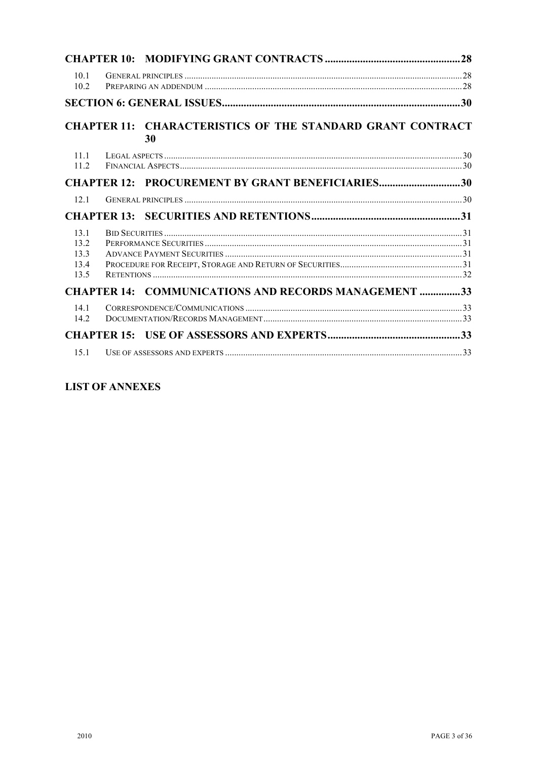| 10 <sub>1</sub><br>10.2             |                                                                         |  |
|-------------------------------------|-------------------------------------------------------------------------|--|
|                                     |                                                                         |  |
|                                     | <b>CHAPTER 11: CHARACTERISTICS OF THE STANDARD GRANT CONTRACT</b><br>30 |  |
| 111<br>11 <sub>2</sub>              |                                                                         |  |
|                                     | CHAPTER 12: PROCUREMENT BY GRANT BENEFICIARIES30                        |  |
| 12 <sub>1</sub>                     |                                                                         |  |
|                                     |                                                                         |  |
| 13.1<br>132<br>13.3<br>13.4<br>13.5 |                                                                         |  |
|                                     | <b>CHAPTER 14: COMMUNICATIONS AND RECORDS MANAGEMENT 33</b>             |  |
| 141<br>142                          |                                                                         |  |
|                                     |                                                                         |  |
| 15.1                                |                                                                         |  |

## **LIST OF ANNEXES**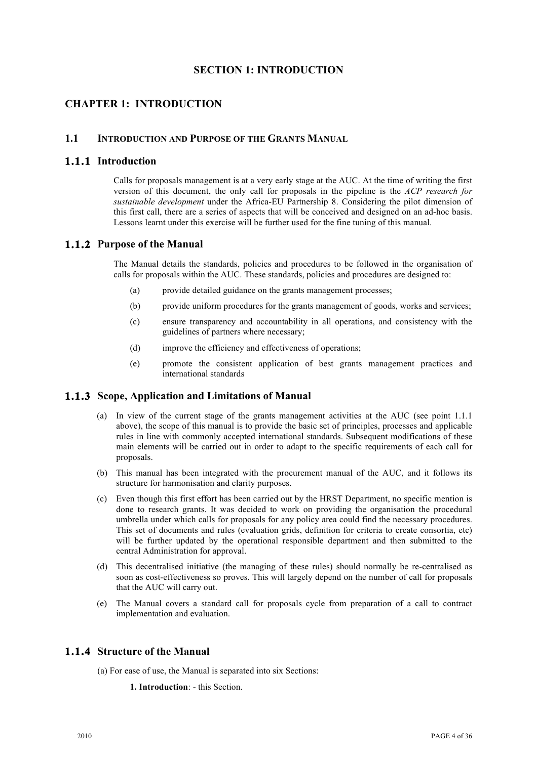## **SECTION 1: INTRODUCTION**

## **CHAPTER 1: INTRODUCTION**

#### **1.1 INTRODUCTION AND PURPOSE OF THE GRANTS MANUAL**

#### **1.1.1 Introduction**

Calls for proposals management is at a very early stage at the AUC. At the time of writing the first version of this document, the only call for proposals in the pipeline is the *ACP research for sustainable development* under the Africa-EU Partnership 8. Considering the pilot dimension of this first call, there are a series of aspects that will be conceived and designed on an ad-hoc basis. Lessons learnt under this exercise will be further used for the fine tuning of this manual.

#### **1.1.2 Purpose of the Manual**

The Manual details the standards, policies and procedures to be followed in the organisation of calls for proposals within the AUC. These standards, policies and procedures are designed to:

- (a) provide detailed guidance on the grants management processes;
- (b) provide uniform procedures for the grants management of goods, works and services;
- (c) ensure transparency and accountability in all operations, and consistency with the guidelines of partners where necessary;
- (d) improve the efficiency and effectiveness of operations;
- (e) promote the consistent application of best grants management practices and international standards

#### **1.1.3 Scope, Application and Limitations of Manual**

- (a) In view of the current stage of the grants management activities at the AUC (see point 1.1.1 above), the scope of this manual is to provide the basic set of principles, processes and applicable rules in line with commonly accepted international standards. Subsequent modifications of these main elements will be carried out in order to adapt to the specific requirements of each call for proposals.
- (b) This manual has been integrated with the procurement manual of the AUC, and it follows its structure for harmonisation and clarity purposes.
- (c) Even though this first effort has been carried out by the HRST Department, no specific mention is done to research grants. It was decided to work on providing the organisation the procedural umbrella under which calls for proposals for any policy area could find the necessary procedures. This set of documents and rules (evaluation grids, definition for criteria to create consortia, etc) will be further updated by the operational responsible department and then submitted to the central Administration for approval.
- (d) This decentralised initiative (the managing of these rules) should normally be re-centralised as soon as cost-effectiveness so proves. This will largely depend on the number of call for proposals that the AUC will carry out.
- (e) The Manual covers a standard call for proposals cycle from preparation of a call to contract implementation and evaluation.

## **1.1.4 Structure of the Manual**

- (a) For ease of use, the Manual is separated into six Sections:
	- **1. Introduction**: this Section.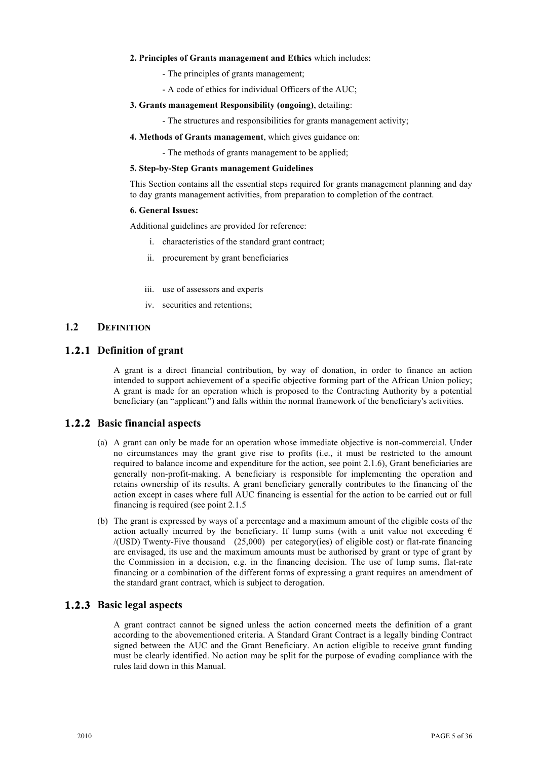#### **2. Principles of Grants management and Ethics** which includes:

- The principles of grants management;
- A code of ethics for individual Officers of the AUC;
- **3. Grants management Responsibility (ongoing)**, detailing:
	- The structures and responsibilities for grants management activity;
- **4. Methods of Grants management**, which gives guidance on:
	- The methods of grants management to be applied;

#### **5. Step-by-Step Grants management Guidelines**

This Section contains all the essential steps required for grants management planning and day to day grants management activities, from preparation to completion of the contract.

#### **6. General Issues:**

Additional guidelines are provided for reference:

- i. characteristics of the standard grant contract;
- ii. procurement by grant beneficiaries
- iii. use of assessors and experts
- iv. securities and retentions;

#### **1.2 DEFINITION**

#### **1.2.1 Definition of grant**

A grant is a direct financial contribution, by way of donation, in order to finance an action intended to support achievement of a specific objective forming part of the African Union policy; A grant is made for an operation which is proposed to the Contracting Authority by a potential beneficiary (an "applicant") and falls within the normal framework of the beneficiary's activities.

#### **1.2.2 Basic financial aspects**

- (a) A grant can only be made for an operation whose immediate objective is non-commercial. Under no circumstances may the grant give rise to profits (i.e., it must be restricted to the amount required to balance income and expenditure for the action, see point 2.1.6), Grant beneficiaries are generally non-profit-making. A beneficiary is responsible for implementing the operation and retains ownership of its results. A grant beneficiary generally contributes to the financing of the action except in cases where full AUC financing is essential for the action to be carried out or full financing is required (see point 2.1.5
- (b) The grant is expressed by ways of a percentage and a maximum amount of the eligible costs of the action actually incurred by the beneficiary. If lump sums (with a unit value not exceeding  $\epsilon$ /(USD) Twenty-Five thousand (25,000) per category(ies) of eligible cost) or flat-rate financing are envisaged, its use and the maximum amounts must be authorised by grant or type of grant by the Commission in a decision, e.g. in the financing decision. The use of lump sums, flat-rate financing or a combination of the different forms of expressing a grant requires an amendment of the standard grant contract, which is subject to derogation.

#### **1.2.3 Basic legal aspects**

A grant contract cannot be signed unless the action concerned meets the definition of a grant according to the abovementioned criteria. A Standard Grant Contract is a legally binding Contract signed between the AUC and the Grant Beneficiary. An action eligible to receive grant funding must be clearly identified. No action may be split for the purpose of evading compliance with the rules laid down in this Manual.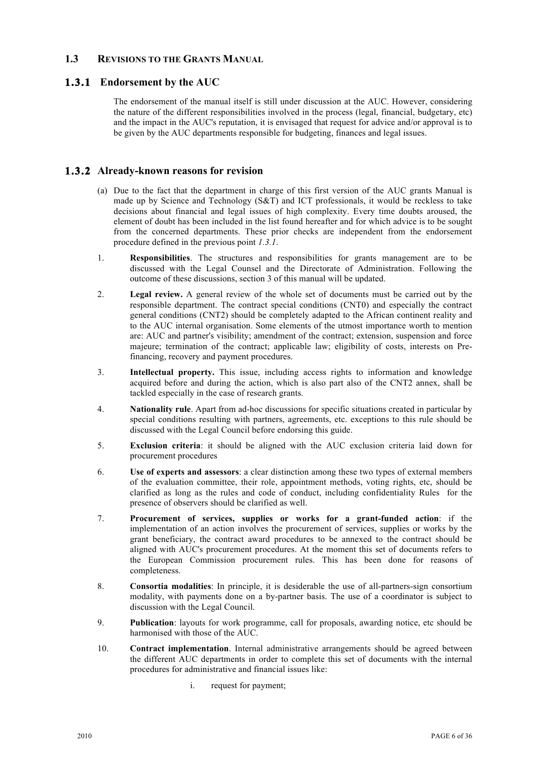#### **1.3 REVISIONS TO THE GRANTS MANUAL**

## **1.3.1 Endorsement by the AUC**

The endorsement of the manual itself is still under discussion at the AUC. However, considering the nature of the different responsibilities involved in the process (legal, financial, budgetary, etc) and the impact in the AUC's reputation, it is envisaged that request for advice and/or approval is to be given by the AUC departments responsible for budgeting, finances and legal issues.

#### **1.3.2 Already-known reasons for revision**

- (a) Due to the fact that the department in charge of this first version of the AUC grants Manual is made up by Science and Technology (S&T) and ICT professionals, it would be reckless to take decisions about financial and legal issues of high complexity. Every time doubts aroused, the element of doubt has been included in the list found hereafter and for which advice is to be sought from the concerned departments. These prior checks are independent from the endorsement procedure defined in the previous point *1.3.1*.
- 1. **Responsibilities**. The structures and responsibilities for grants management are to be discussed with the Legal Counsel and the Directorate of Administration. Following the outcome of these discussions, section 3 of this manual will be updated.
- 2. **Legal review.** A general review of the whole set of documents must be carried out by the responsible department. The contract special conditions (CNT0) and especially the contract general conditions (CNT2) should be completely adapted to the African continent reality and to the AUC internal organisation. Some elements of the utmost importance worth to mention are: AUC and partner's visibility; amendment of the contract; extension, suspension and force majeure; termination of the contract; applicable law; eligibility of costs, interests on Prefinancing, recovery and payment procedures.
- 3. **Intellectual property.** This issue, including access rights to information and knowledge acquired before and during the action, which is also part also of the CNT2 annex, shall be tackled especially in the case of research grants.
- 4. **Nationality rule**. Apart from ad-hoc discussions for specific situations created in particular by special conditions resulting with partners, agreements, etc. exceptions to this rule should be discussed with the Legal Council before endorsing this guide.
- 5. **Exclusion criteria**: it should be aligned with the AUC exclusion criteria laid down for procurement procedures
- 6. **Use of experts and assessors**: a clear distinction among these two types of external members of the evaluation committee, their role, appointment methods, voting rights, etc, should be clarified as long as the rules and code of conduct, including confidentiality Rules for the presence of observers should be clarified as well.
- 7. **Procurement of services, supplies or works for a grant-funded action**: if the implementation of an action involves the procurement of services, supplies or works by the grant beneficiary, the contract award procedures to be annexed to the contract should be aligned with AUC's procurement procedures. At the moment this set of documents refers to the European Commission procurement rules. This has been done for reasons of completeness.
- 8. **Consortia modalities**: In principle, it is desiderable the use of all-partners-sign consortium modality, with payments done on a by-partner basis. The use of a coordinator is subject to discussion with the Legal Council.
- 9. **Publication**: layouts for work programme, call for proposals, awarding notice, etc should be harmonised with those of the AUC.
- 10. **Contract implementation**. Internal administrative arrangements should be agreed between the different AUC departments in order to complete this set of documents with the internal procedures for administrative and financial issues like:
	- i. request for payment;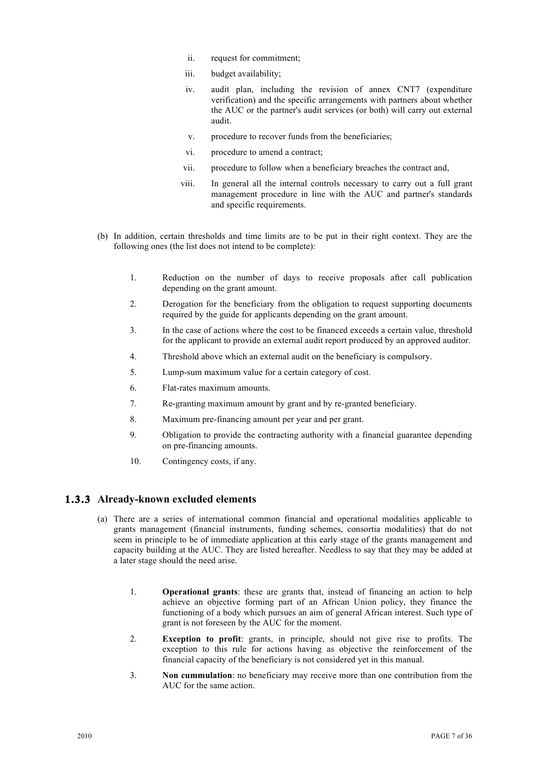- ii. request for commitment;
- iii. budget availability;
- iv. audit plan, including the revision of annex CNT7 (expenditure verification) and the specific arrangements with partners about whether the AUC or the partner's audit services (or both) will carry out external audit.
- v. procedure to recover funds from the beneficiaries;
- vi. procedure to amend a contract;
- vii. procedure to follow when a beneficiary breaches the contract and,
- viii. In general all the internal controls necessary to carry out a full grant management procedure in line with the AUC and partner's standards and specific requirements.
- (b) In addition, certain thresholds and time limits are to be put in their right context. They are the following ones (the list does not intend to be complete):
	- 1. Reduction on the number of days to receive proposals after call publication depending on the grant amount.
	- 2. Derogation for the beneficiary from the obligation to request supporting documents required by the guide for applicants depending on the grant amount.
	- 3. In the case of actions where the cost to be financed exceeds a certain value, threshold for the applicant to provide an external audit report produced by an approved auditor.
	- 4. Threshold above which an external audit on the beneficiary is compulsory.
	- 5. Lump-sum maximum value for a certain category of cost.
	- 6. Flat-rates maximum amounts.
	- 7. Re-granting maximum amount by grant and by re-granted beneficiary.
	- 8. Maximum pre-financing amount per year and per grant.
	- 9. Obligation to provide the contracting authority with a financial guarantee depending on pre-financing amounts.
	- 10. Contingency costs, if any.

## **1.3.3 Already-known excluded elements**

- (a) There are a series of international common financial and operational modalities applicable to grants management (financial instruments, funding schemes, consortia modalities) that do not seem in principle to be of immediate application at this early stage of the grants management and capacity building at the AUC. They are listed hereafter. Needless to say that they may be added at a later stage should the need arise.
	- 1. **Operational grants**: these are grants that, instead of financing an action to help achieve an objective forming part of an African Union policy, they finance the functioning of a body which pursues an aim of general African interest. Such type of grant is not foreseen by the AUC for the moment.
	- 2. **Exception to profit**: grants, in principle, should not give rise to profits. The exception to this rule for actions having as objective the reinforcement of the financial capacity of the beneficiary is not considered yet in this manual.
	- 3. **Non cummulation**: no beneficiary may receive more than one contribution from the AUC for the same action.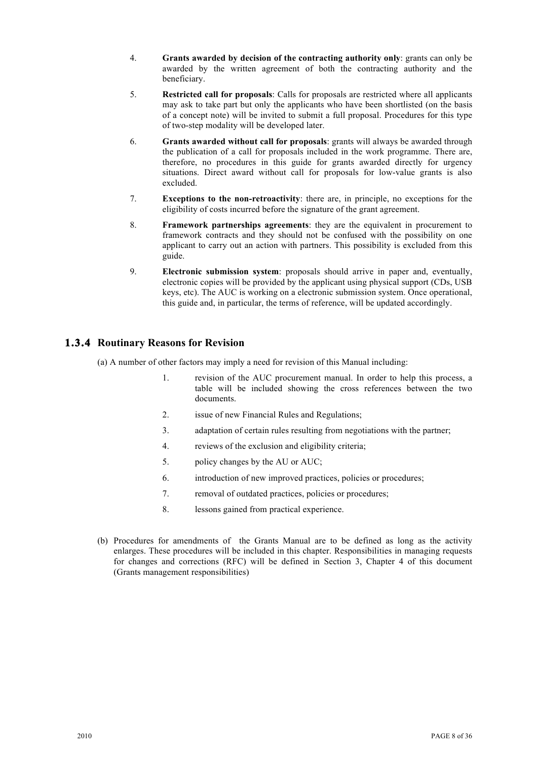- 4. **Grants awarded by decision of the contracting authority only**: grants can only be awarded by the written agreement of both the contracting authority and the beneficiary.
- 5. **Restricted call for proposals**: Calls for proposals are restricted where all applicants may ask to take part but only the applicants who have been shortlisted (on the basis of a concept note) will be invited to submit a full proposal. Procedures for this type of two-step modality will be developed later.
- 6. **Grants awarded without call for proposals**: grants will always be awarded through the publication of a call for proposals included in the work programme. There are, therefore, no procedures in this guide for grants awarded directly for urgency situations. Direct award without call for proposals for low-value grants is also excluded.
- 7. **Exceptions to the non-retroactivity**: there are, in principle, no exceptions for the eligibility of costs incurred before the signature of the grant agreement.
- 8. **Framework partnerships agreements**: they are the equivalent in procurement to framework contracts and they should not be confused with the possibility on one applicant to carry out an action with partners. This possibility is excluded from this guide.
- 9. **Electronic submission system**: proposals should arrive in paper and, eventually, electronic copies will be provided by the applicant using physical support (CDs, USB keys, etc). The AUC is working on a electronic submission system. Once operational, this guide and, in particular, the terms of reference, will be updated accordingly.

## **1.3.4 Routinary Reasons for Revision**

(a) A number of other factors may imply a need for revision of this Manual including:

- 1. revision of the AUC procurement manual. In order to help this process, a table will be included showing the cross references between the two documents.
- 2. issue of new Financial Rules and Regulations;
- 3. adaptation of certain rules resulting from negotiations with the partner;
- 4. reviews of the exclusion and eligibility criteria;
- 5. policy changes by the AU or AUC;
- 6. introduction of new improved practices, policies or procedures;
- 7. removal of outdated practices, policies or procedures;
- 8. lessons gained from practical experience.
- (b) Procedures for amendments of the Grants Manual are to be defined as long as the activity enlarges. These procedures will be included in this chapter. Responsibilities in managing requests for changes and corrections (RFC) will be defined in Section 3, Chapter 4 of this document (Grants management responsibilities)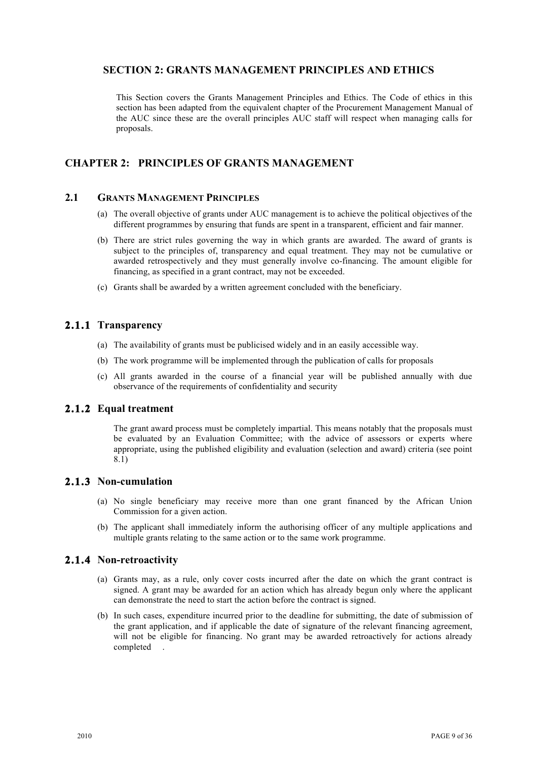#### **SECTION 2: GRANTS MANAGEMENT PRINCIPLES AND ETHICS**

This Section covers the Grants Management Principles and Ethics. The Code of ethics in this section has been adapted from the equivalent chapter of the Procurement Management Manual of the AUC since these are the overall principles AUC staff will respect when managing calls for proposals.

## **CHAPTER 2: PRINCIPLES OF GRANTS MANAGEMENT**

#### **2.1 GRANTS MANAGEMENT PRINCIPLES**

- (a) The overall objective of grants under AUC management is to achieve the political objectives of the different programmes by ensuring that funds are spent in a transparent, efficient and fair manner.
- (b) There are strict rules governing the way in which grants are awarded. The award of grants is subject to the principles of, transparency and equal treatment. They may not be cumulative or awarded retrospectively and they must generally involve co-financing. The amount eligible for financing, as specified in a grant contract, may not be exceeded.
- (c) Grants shall be awarded by a written agreement concluded with the beneficiary.

#### **2.1.1 Transparency**

- (a) The availability of grants must be publicised widely and in an easily accessible way.
- (b) The work programme will be implemented through the publication of calls for proposals
- (c) All grants awarded in the course of a financial year will be published annually with due observance of the requirements of confidentiality and security

#### **2.1.2 Equal treatment**

The grant award process must be completely impartial. This means notably that the proposals must be evaluated by an Evaluation Committee; with the advice of assessors or experts where appropriate, using the published eligibility and evaluation (selection and award) criteria (see point 8.1)

## **2.1.3 Non-cumulation**

- (a) No single beneficiary may receive more than one grant financed by the African Union Commission for a given action.
- (b) The applicant shall immediately inform the authorising officer of any multiple applications and multiple grants relating to the same action or to the same work programme.

#### **2.1.4 Non-retroactivity**

- (a) Grants may, as a rule, only cover costs incurred after the date on which the grant contract is signed. A grant may be awarded for an action which has already begun only where the applicant can demonstrate the need to start the action before the contract is signed.
- (b) In such cases, expenditure incurred prior to the deadline for submitting, the date of submission of the grant application, and if applicable the date of signature of the relevant financing agreement, will not be eligible for financing. No grant may be awarded retroactively for actions already completed .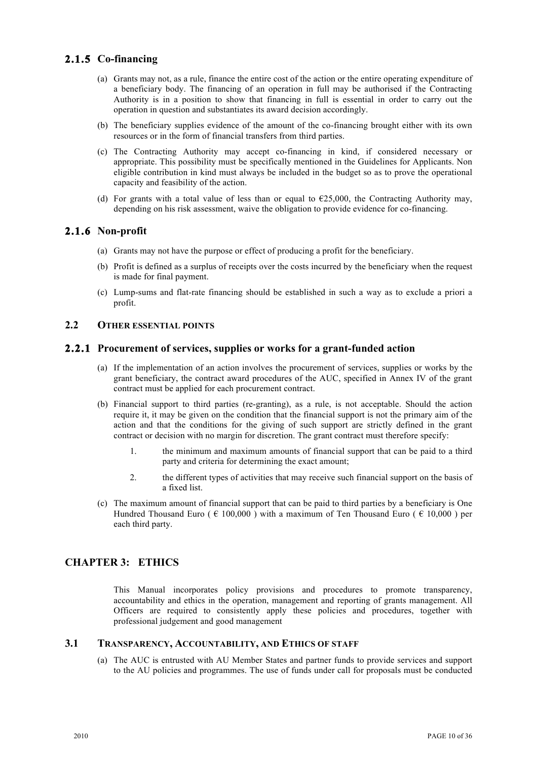## **2.1.5 Co-financing**

- (a) Grants may not, as a rule, finance the entire cost of the action or the entire operating expenditure of a beneficiary body. The financing of an operation in full may be authorised if the Contracting Authority is in a position to show that financing in full is essential in order to carry out the operation in question and substantiates its award decision accordingly.
- (b) The beneficiary supplies evidence of the amount of the co-financing brought either with its own resources or in the form of financial transfers from third parties.
- (c) The Contracting Authority may accept co-financing in kind, if considered necessary or appropriate. This possibility must be specifically mentioned in the Guidelines for Applicants. Non eligible contribution in kind must always be included in the budget so as to prove the operational capacity and feasibility of the action.
- (d) For grants with a total value of less than or equal to  $625,000$ , the Contracting Authority may, depending on his risk assessment, waive the obligation to provide evidence for co-financing.

#### **2.1.6 Non-profit**

- (a) Grants may not have the purpose or effect of producing a profit for the beneficiary.
- (b) Profit is defined as a surplus of receipts over the costs incurred by the beneficiary when the request is made for final payment.
- (c) Lump-sums and flat-rate financing should be established in such a way as to exclude a priori a profit.

#### **2.2 OTHER ESSENTIAL POINTS**

#### **2.2.1 Procurement of services, supplies or works for a grant-funded action**

- (a) If the implementation of an action involves the procurement of services, supplies or works by the grant beneficiary, the contract award procedures of the AUC, specified in Annex IV of the grant contract must be applied for each procurement contract.
- (b) Financial support to third parties (re-granting), as a rule, is not acceptable. Should the action require it, it may be given on the condition that the financial support is not the primary aim of the action and that the conditions for the giving of such support are strictly defined in the grant contract or decision with no margin for discretion. The grant contract must therefore specify:
	- 1. the minimum and maximum amounts of financial support that can be paid to a third party and criteria for determining the exact amount;
	- 2. the different types of activities that may receive such financial support on the basis of a fixed list.
- (c) The maximum amount of financial support that can be paid to third parties by a beneficiary is One Hundred Thousand Euro (  $\epsilon$  100,000 ) with a maximum of Ten Thousand Euro (  $\epsilon$  10,000 ) per each third party.

## **CHAPTER 3: ETHICS**

This Manual incorporates policy provisions and procedures to promote transparency, accountability and ethics in the operation, management and reporting of grants management. All Officers are required to consistently apply these policies and procedures, together with professional judgement and good management

#### **3.1 TRANSPARENCY, ACCOUNTABILITY, AND ETHICS OF STAFF**

(a) The AUC is entrusted with AU Member States and partner funds to provide services and support to the AU policies and programmes. The use of funds under call for proposals must be conducted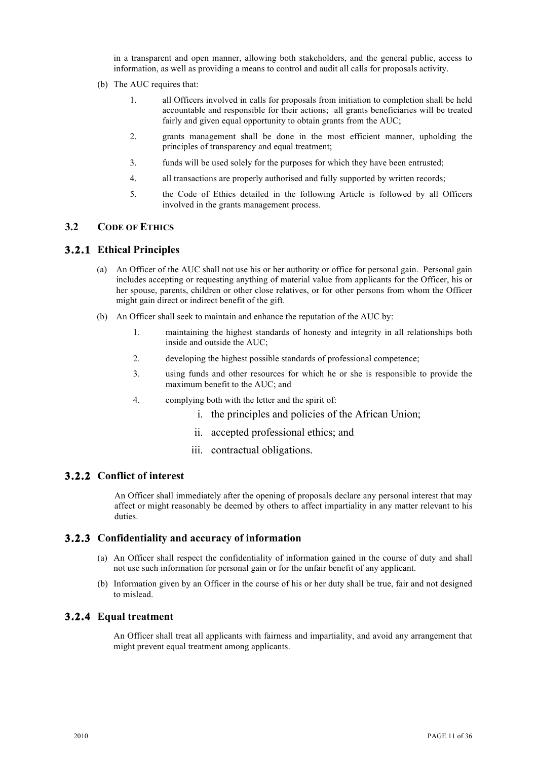in a transparent and open manner, allowing both stakeholders, and the general public, access to information, as well as providing a means to control and audit all calls for proposals activity.

- (b) The AUC requires that:
	- 1. all Officers involved in calls for proposals from initiation to completion shall be held accountable and responsible for their actions; all grants beneficiaries will be treated fairly and given equal opportunity to obtain grants from the AUC;
	- 2. grants management shall be done in the most efficient manner, upholding the principles of transparency and equal treatment;
	- 3. funds will be used solely for the purposes for which they have been entrusted;
	- 4. all transactions are properly authorised and fully supported by written records;
	- 5. the Code of Ethics detailed in the following Article is followed by all Officers involved in the grants management process.

#### **3.2 CODE OF ETHICS**

#### **3.2.1 Ethical Principles**

- (a) An Officer of the AUC shall not use his or her authority or office for personal gain. Personal gain includes accepting or requesting anything of material value from applicants for the Officer, his or her spouse, parents, children or other close relatives, or for other persons from whom the Officer might gain direct or indirect benefit of the gift.
- (b) An Officer shall seek to maintain and enhance the reputation of the AUC by:
	- 1. maintaining the highest standards of honesty and integrity in all relationships both inside and outside the AUC;
	- 2. developing the highest possible standards of professional competence;
	- 3. using funds and other resources for which he or she is responsible to provide the maximum benefit to the AUC; and
	- 4. complying both with the letter and the spirit of:
		- i. the principles and policies of the African Union;
		- ii. accepted professional ethics; and
		- iii. contractual obligations.

#### **3.2.2 Conflict of interest**

An Officer shall immediately after the opening of proposals declare any personal interest that may affect or might reasonably be deemed by others to affect impartiality in any matter relevant to his duties.

#### **3.2.3 Confidentiality and accuracy of information**

- (a) An Officer shall respect the confidentiality of information gained in the course of duty and shall not use such information for personal gain or for the unfair benefit of any applicant.
- (b) Information given by an Officer in the course of his or her duty shall be true, fair and not designed to mislead.

## **3.2.4 Equal treatment**

An Officer shall treat all applicants with fairness and impartiality, and avoid any arrangement that might prevent equal treatment among applicants.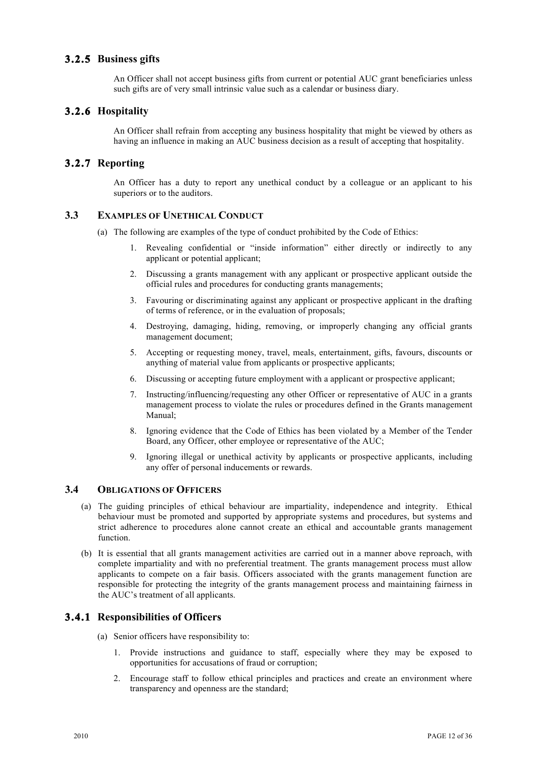## **3.2.5 Business gifts**

An Officer shall not accept business gifts from current or potential AUC grant beneficiaries unless such gifts are of very small intrinsic value such as a calendar or business diary.

#### **3.2.6 Hospitality**

An Officer shall refrain from accepting any business hospitality that might be viewed by others as having an influence in making an AUC business decision as a result of accepting that hospitality.

#### **3.2.7 Reporting**

An Officer has a duty to report any unethical conduct by a colleague or an applicant to his superiors or to the auditors.

#### **3.3 EXAMPLES OF UNETHICAL CONDUCT**

- (a) The following are examples of the type of conduct prohibited by the Code of Ethics:
	- Revealing confidential or "inside information" either directly or indirectly to any applicant or potential applicant;
	- 2. Discussing a grants management with any applicant or prospective applicant outside the official rules and procedures for conducting grants managements;
	- 3. Favouring or discriminating against any applicant or prospective applicant in the drafting of terms of reference, or in the evaluation of proposals;
	- 4. Destroying, damaging, hiding, removing, or improperly changing any official grants management document;
	- 5. Accepting or requesting money, travel, meals, entertainment, gifts, favours, discounts or anything of material value from applicants or prospective applicants;
	- 6. Discussing or accepting future employment with a applicant or prospective applicant;
	- 7. Instructing/influencing/requesting any other Officer or representative of AUC in a grants management process to violate the rules or procedures defined in the Grants management Manual;
	- 8. Ignoring evidence that the Code of Ethics has been violated by a Member of the Tender Board, any Officer, other employee or representative of the AUC;
	- 9. Ignoring illegal or unethical activity by applicants or prospective applicants, including any offer of personal inducements or rewards.

#### **3.4 OBLIGATIONS OF OFFICERS**

- (a) The guiding principles of ethical behaviour are impartiality, independence and integrity. Ethical behaviour must be promoted and supported by appropriate systems and procedures, but systems and strict adherence to procedures alone cannot create an ethical and accountable grants management function.
- (b) It is essential that all grants management activities are carried out in a manner above reproach, with complete impartiality and with no preferential treatment. The grants management process must allow applicants to compete on a fair basis. Officers associated with the grants management function are responsible for protecting the integrity of the grants management process and maintaining fairness in the AUC's treatment of all applicants.

## **3.4.1 Responsibilities of Officers**

- (a) Senior officers have responsibility to:
	- 1. Provide instructions and guidance to staff, especially where they may be exposed to opportunities for accusations of fraud or corruption;
	- 2. Encourage staff to follow ethical principles and practices and create an environment where transparency and openness are the standard;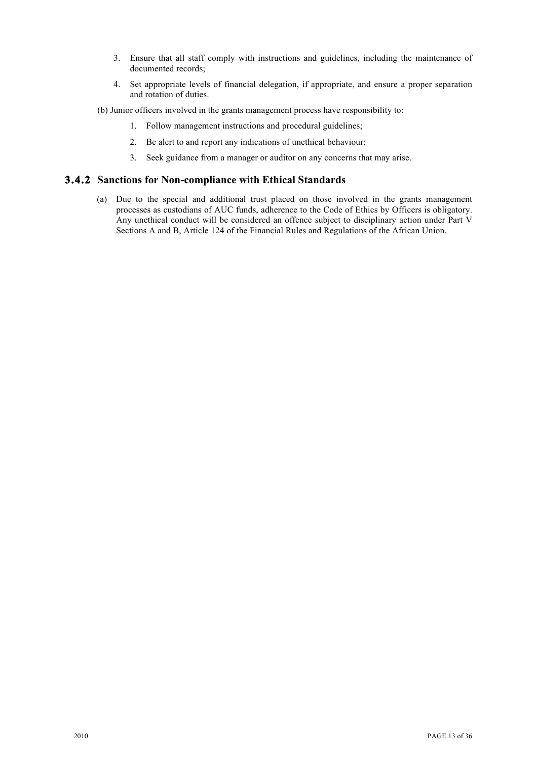- 3. Ensure that all staff comply with instructions and guidelines, including the maintenance of documented records;
- 4. Set appropriate levels of financial delegation, if appropriate, and ensure a proper separation and rotation of duties.
- (b) Junior officers involved in the grants management process have responsibility to:
	- 1. Follow management instructions and procedural guidelines;
	- 2. Be alert to and report any indications of unethical behaviour;
	- 3. Seek guidance from a manager or auditor on any concerns that may arise.

#### **3.4.2 Sanctions for Non-compliance with Ethical Standards**

(a) Due to the special and additional trust placed on those involved in the grants management processes as custodians of AUC funds, adherence to the Code of Ethics by Officers is obligatory. Any unethical conduct will be considered an offence subject to disciplinary action under Part V Sections A and B, Article 124 of the Financial Rules and Regulations of the African Union.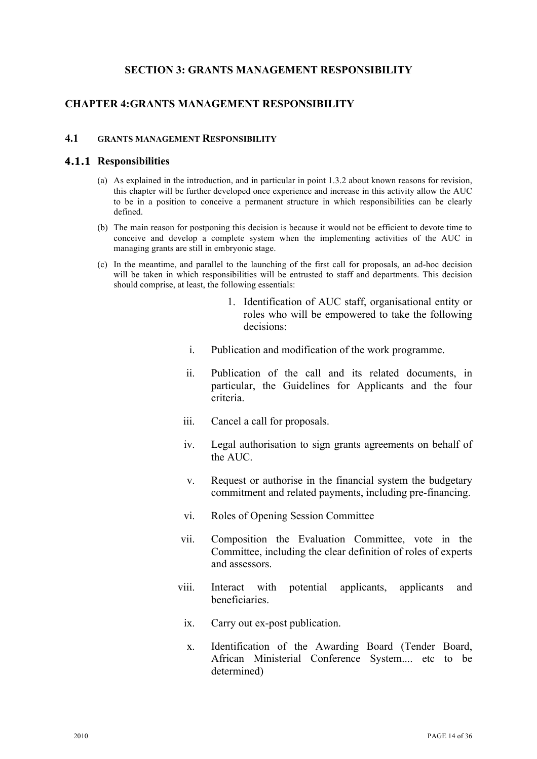## **SECTION 3: GRANTS MANAGEMENT RESPONSIBILITY**

## **CHAPTER 4:GRANTS MANAGEMENT RESPONSIBILITY**

#### **4.1 GRANTS MANAGEMENT RESPONSIBILITY**

#### **4.1.1 Responsibilities**

- (a) As explained in the introduction, and in particular in point 1.3.2 about known reasons for revision, this chapter will be further developed once experience and increase in this activity allow the AUC to be in a position to conceive a permanent structure in which responsibilities can be clearly defined.
- (b) The main reason for postponing this decision is because it would not be efficient to devote time to conceive and develop a complete system when the implementing activities of the AUC in managing grants are still in embryonic stage.
- (c) In the meantime, and parallel to the launching of the first call for proposals, an ad-hoc decision will be taken in which responsibilities will be entrusted to staff and departments. This decision should comprise, at least, the following essentials:
	- 1. Identification of AUC staff, organisational entity or roles who will be empowered to take the following decisions:
	- i. Publication and modification of the work programme.
	- ii. Publication of the call and its related documents, in particular, the Guidelines for Applicants and the four criteria.
	- iii. Cancel a call for proposals.
	- iv. Legal authorisation to sign grants agreements on behalf of the AUC.
	- v. Request or authorise in the financial system the budgetary commitment and related payments, including pre-financing.
	- vi. Roles of Opening Session Committee
	- vii. Composition the Evaluation Committee, vote in the Committee, including the clear definition of roles of experts and assessors.
	- viii. Interact with potential applicants, applicants and beneficiaries.
		- ix. Carry out ex-post publication.
		- x. Identification of the Awarding Board (Tender Board, African Ministerial Conference System.... etc to be determined)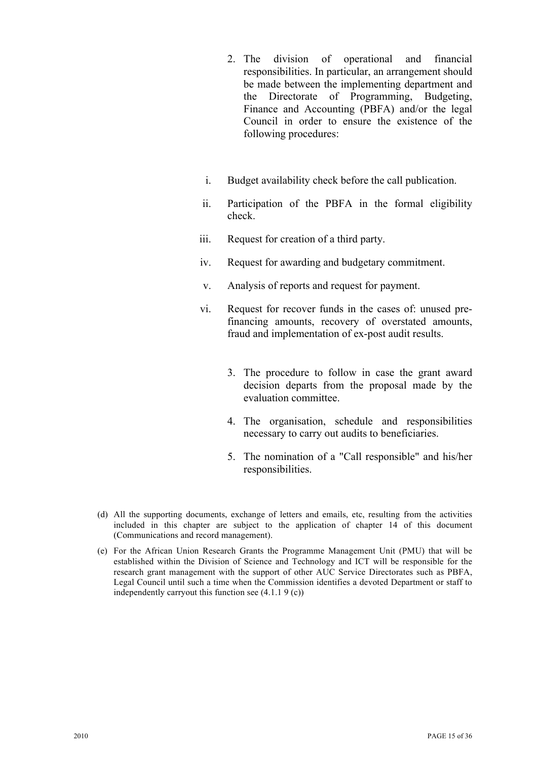- 2. The division of operational and financial responsibilities. In particular, an arrangement should be made between the implementing department and the Directorate of Programming, Budgeting, Finance and Accounting (PBFA) and/or the legal Council in order to ensure the existence of the following procedures:
- i. Budget availability check before the call publication.
- ii. Participation of the PBFA in the formal eligibility check.
- iii. Request for creation of a third party.
- iv. Request for awarding and budgetary commitment.
- v. Analysis of reports and request for payment.
- vi. Request for recover funds in the cases of: unused prefinancing amounts, recovery of overstated amounts, fraud and implementation of ex-post audit results.
	- 3. The procedure to follow in case the grant award decision departs from the proposal made by the evaluation committee.
	- 4. The organisation, schedule and responsibilities necessary to carry out audits to beneficiaries.
	- 5. The nomination of a "Call responsible" and his/her responsibilities.
- (d) All the supporting documents, exchange of letters and emails, etc, resulting from the activities included in this chapter are subject to the application of chapter 14 of this document (Communications and record management).
- (e) For the African Union Research Grants the Programme Management Unit (PMU) that will be established within the Division of Science and Technology and ICT will be responsible for the research grant management with the support of other AUC Service Directorates such as PBFA, Legal Council until such a time when the Commission identifies a devoted Department or staff to independently carryout this function see (4.1.1 9 (c))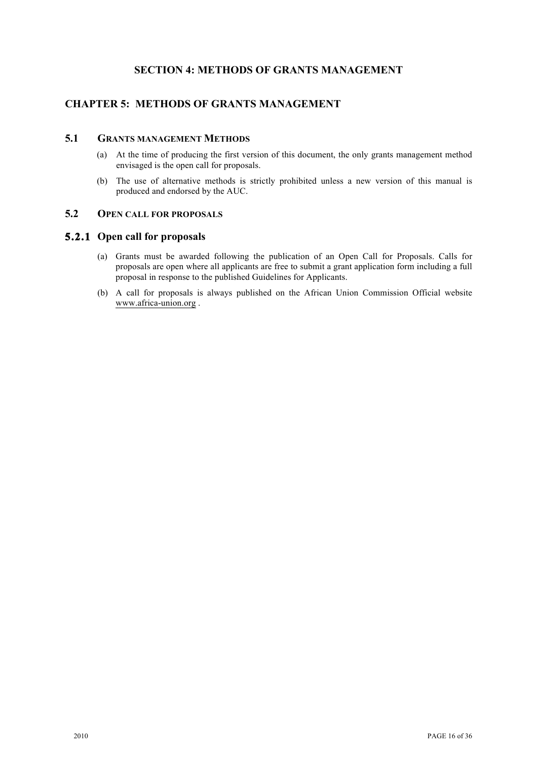## **SECTION 4: METHODS OF GRANTS MANAGEMENT**

## **CHAPTER 5: METHODS OF GRANTS MANAGEMENT**

#### **5.1 GRANTS MANAGEMENT METHODS**

- (a) At the time of producing the first version of this document, the only grants management method envisaged is the open call for proposals.
- (b) The use of alternative methods is strictly prohibited unless a new version of this manual is produced and endorsed by the AUC.

#### **5.2 OPEN CALL FOR PROPOSALS**

#### **5.2.1 Open call for proposals**

- (a) Grants must be awarded following the publication of an Open Call for Proposals. Calls for proposals are open where all applicants are free to submit a grant application form including a full proposal in response to the published Guidelines for Applicants.
- (b) A call for proposals is always published on the African Union Commission Official website www.africa-union.org .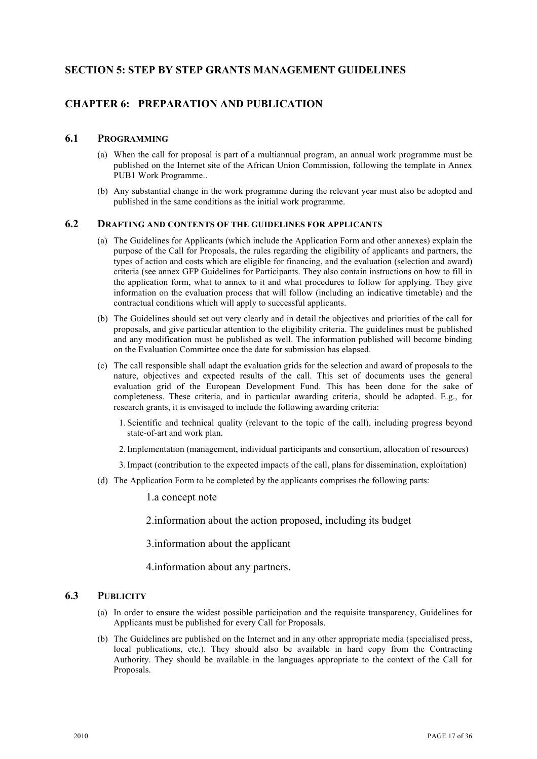## **SECTION 5: STEP BY STEP GRANTS MANAGEMENT GUIDELINES**

## **CHAPTER 6: PREPARATION AND PUBLICATION**

#### **6.1 PROGRAMMING**

- (a) When the call for proposal is part of a multiannual program, an annual work programme must be published on the Internet site of the African Union Commission, following the template in Annex PUB1 Work Programme..
- (b) Any substantial change in the work programme during the relevant year must also be adopted and published in the same conditions as the initial work programme.

#### **6.2 DRAFTING AND CONTENTS OF THE GUIDELINES FOR APPLICANTS**

- (a) The Guidelines for Applicants (which include the Application Form and other annexes) explain the purpose of the Call for Proposals, the rules regarding the eligibility of applicants and partners, the types of action and costs which are eligible for financing, and the evaluation (selection and award) criteria (see annex GFP Guidelines for Participants. They also contain instructions on how to fill in the application form, what to annex to it and what procedures to follow for applying. They give information on the evaluation process that will follow (including an indicative timetable) and the contractual conditions which will apply to successful applicants.
- (b) The Guidelines should set out very clearly and in detail the objectives and priorities of the call for proposals, and give particular attention to the eligibility criteria. The guidelines must be published and any modification must be published as well. The information published will become binding on the Evaluation Committee once the date for submission has elapsed.
- (c) The call responsible shall adapt the evaluation grids for the selection and award of proposals to the nature, objectives and expected results of the call. This set of documents uses the general evaluation grid of the European Development Fund. This has been done for the sake of completeness. These criteria, and in particular awarding criteria, should be adapted. E.g., for research grants, it is envisaged to include the following awarding criteria:
	- 1. Scientific and technical quality (relevant to the topic of the call), including progress beyond state-of-art and work plan.
	- 2.Implementation (management, individual participants and consortium, allocation of resources)
	- 3.Impact (contribution to the expected impacts of the call, plans for dissemination, exploitation)
- (d) The Application Form to be completed by the applicants comprises the following parts:

1.a concept note

2.information about the action proposed, including its budget

3.information about the applicant

4.information about any partners.

#### **6.3 PUBLICITY**

- (a) In order to ensure the widest possible participation and the requisite transparency, Guidelines for Applicants must be published for every Call for Proposals.
- (b) The Guidelines are published on the Internet and in any other appropriate media (specialised press, local publications, etc.). They should also be available in hard copy from the Contracting Authority. They should be available in the languages appropriate to the context of the Call for Proposals.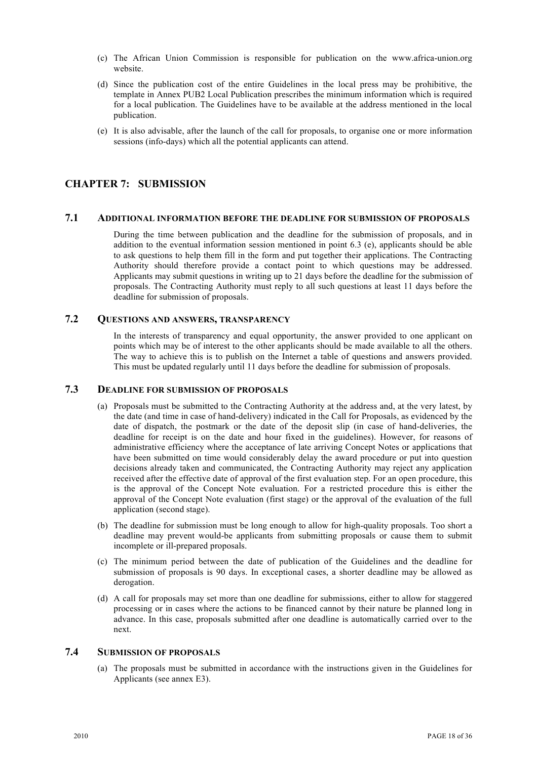- (c) The African Union Commission is responsible for publication on the www.africa-union.org website.
- (d) Since the publication cost of the entire Guidelines in the local press may be prohibitive, the template in Annex PUB2 Local Publication prescribes the minimum information which is required for a local publication. The Guidelines have to be available at the address mentioned in the local publication.
- (e) It is also advisable, after the launch of the call for proposals, to organise one or more information sessions (info-days) which all the potential applicants can attend.

## **CHAPTER 7: SUBMISSION**

#### **7.1 ADDITIONAL INFORMATION BEFORE THE DEADLINE FOR SUBMISSION OF PROPOSALS**

During the time between publication and the deadline for the submission of proposals, and in addition to the eventual information session mentioned in point 6.3 (e), applicants should be able to ask questions to help them fill in the form and put together their applications. The Contracting Authority should therefore provide a contact point to which questions may be addressed. Applicants may submit questions in writing up to 21 days before the deadline for the submission of proposals. The Contracting Authority must reply to all such questions at least 11 days before the deadline for submission of proposals.

#### **7.2 QUESTIONS AND ANSWERS, TRANSPARENCY**

In the interests of transparency and equal opportunity, the answer provided to one applicant on points which may be of interest to the other applicants should be made available to all the others. The way to achieve this is to publish on the Internet a table of questions and answers provided. This must be updated regularly until 11 days before the deadline for submission of proposals.

#### **7.3 DEADLINE FOR SUBMISSION OF PROPOSALS**

- (a) Proposals must be submitted to the Contracting Authority at the address and, at the very latest, by the date (and time in case of hand-delivery) indicated in the Call for Proposals, as evidenced by the date of dispatch, the postmark or the date of the deposit slip (in case of hand-deliveries, the deadline for receipt is on the date and hour fixed in the guidelines). However, for reasons of administrative efficiency where the acceptance of late arriving Concept Notes or applications that have been submitted on time would considerably delay the award procedure or put into question decisions already taken and communicated, the Contracting Authority may reject any application received after the effective date of approval of the first evaluation step. For an open procedure, this is the approval of the Concept Note evaluation. For a restricted procedure this is either the approval of the Concept Note evaluation (first stage) or the approval of the evaluation of the full application (second stage).
- (b) The deadline for submission must be long enough to allow for high-quality proposals. Too short a deadline may prevent would-be applicants from submitting proposals or cause them to submit incomplete or ill-prepared proposals.
- (c) The minimum period between the date of publication of the Guidelines and the deadline for submission of proposals is 90 days. In exceptional cases, a shorter deadline may be allowed as derogation.
- (d) A call for proposals may set more than one deadline for submissions, either to allow for staggered processing or in cases where the actions to be financed cannot by their nature be planned long in advance. In this case, proposals submitted after one deadline is automatically carried over to the next.

#### **7.4 SUBMISSION OF PROPOSALS**

(a) The proposals must be submitted in accordance with the instructions given in the Guidelines for Applicants (see annex E3).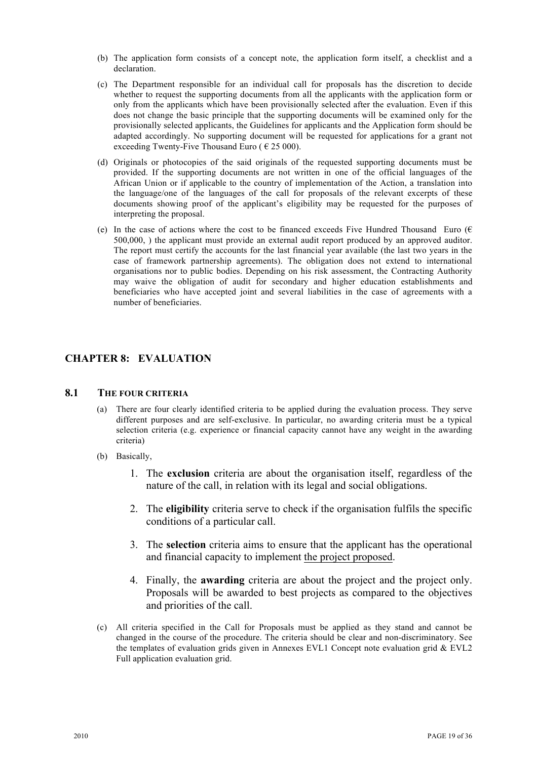- (b) The application form consists of a concept note, the application form itself, a checklist and a declaration.
- (c) The Department responsible for an individual call for proposals has the discretion to decide whether to request the supporting documents from all the applicants with the application form or only from the applicants which have been provisionally selected after the evaluation. Even if this does not change the basic principle that the supporting documents will be examined only for the provisionally selected applicants, the Guidelines for applicants and the Application form should be adapted accordingly. No supporting document will be requested for applications for a grant not exceeding Twenty-Five Thousand Euro ( $\epsilon$  25 000).
- (d) Originals or photocopies of the said originals of the requested supporting documents must be provided. If the supporting documents are not written in one of the official languages of the African Union or if applicable to the country of implementation of the Action, a translation into the language/one of the languages of the call for proposals of the relevant excerpts of these documents showing proof of the applicant's eligibility may be requested for the purposes of interpreting the proposal.
- (e) In the case of actions where the cost to be financed exceeds Five Hundred Thousand Euro ( $\epsilon$ 500,000, ) the applicant must provide an external audit report produced by an approved auditor. The report must certify the accounts for the last financial year available (the last two years in the case of framework partnership agreements). The obligation does not extend to international organisations nor to public bodies. Depending on his risk assessment, the Contracting Authority may waive the obligation of audit for secondary and higher education establishments and beneficiaries who have accepted joint and several liabilities in the case of agreements with a number of beneficiaries.

## **CHAPTER 8: EVALUATION**

#### **8.1 THE FOUR CRITERIA**

- (a) There are four clearly identified criteria to be applied during the evaluation process. They serve different purposes and are self-exclusive. In particular, no awarding criteria must be a typical selection criteria (e.g. experience or financial capacity cannot have any weight in the awarding criteria)
- (b) Basically,
	- 1. The **exclusion** criteria are about the organisation itself, regardless of the nature of the call, in relation with its legal and social obligations.
	- 2. The **eligibility** criteria serve to check if the organisation fulfils the specific conditions of a particular call.
	- 3. The **selection** criteria aims to ensure that the applicant has the operational and financial capacity to implement the project proposed.
	- 4. Finally, the **awarding** criteria are about the project and the project only. Proposals will be awarded to best projects as compared to the objectives and priorities of the call.
- (c) All criteria specified in the Call for Proposals must be applied as they stand and cannot be changed in the course of the procedure. The criteria should be clear and non-discriminatory. See the templates of evaluation grids given in Annexes EVL1 Concept note evaluation grid  $&$  EVL2 Full application evaluation grid.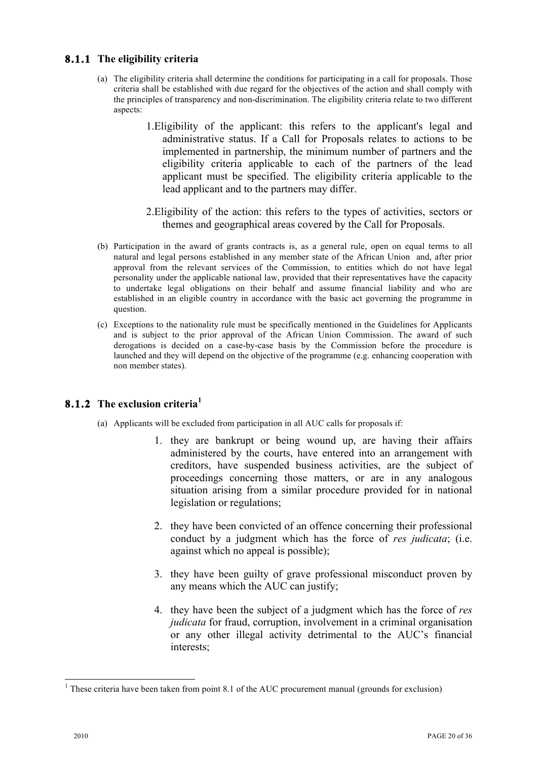## **8.1.1 The eligibility criteria**

- (a) The eligibility criteria shall determine the conditions for participating in a call for proposals. Those criteria shall be established with due regard for the objectives of the action and shall comply with the principles of transparency and non-discrimination. The eligibility criteria relate to two different aspects:
	- 1.Eligibility of the applicant: this refers to the applicant's legal and administrative status. If a Call for Proposals relates to actions to be implemented in partnership, the minimum number of partners and the eligibility criteria applicable to each of the partners of the lead applicant must be specified. The eligibility criteria applicable to the lead applicant and to the partners may differ.
	- 2.Eligibility of the action: this refers to the types of activities, sectors or themes and geographical areas covered by the Call for Proposals.
- (b) Participation in the award of grants contracts is, as a general rule, open on equal terms to all natural and legal persons established in any member state of the African Union and, after prior approval from the relevant services of the Commission, to entities which do not have legal personality under the applicable national law, provided that their representatives have the capacity to undertake legal obligations on their behalf and assume financial liability and who are established in an eligible country in accordance with the basic act governing the programme in question.
- (c) Exceptions to the nationality rule must be specifically mentioned in the Guidelines for Applicants and is subject to the prior approval of the African Union Commission. The award of such derogations is decided on a case-by-case basis by the Commission before the procedure is launched and they will depend on the objective of the programme (e.g. enhancing cooperation with non member states).

## **8.1.2 The exclusion criteria<sup>1</sup>**

- (a) Applicants will be excluded from participation in all AUC calls for proposals if:
	- 1. they are bankrupt or being wound up, are having their affairs administered by the courts, have entered into an arrangement with creditors, have suspended business activities, are the subject of proceedings concerning those matters, or are in any analogous situation arising from a similar procedure provided for in national legislation or regulations;
	- 2. they have been convicted of an offence concerning their professional conduct by a judgment which has the force of *res judicata*; (i.e. against which no appeal is possible);
	- 3. they have been guilty of grave professional misconduct proven by any means which the AUC can justify;
	- 4. they have been the subject of a judgment which has the force of *res judicata* for fraud, corruption, involvement in a criminal organisation or any other illegal activity detrimental to the AUC's financial interests;

<sup>&</sup>lt;sup>1</sup> These criteria have been taken from point 8.1 of the AUC procurement manual (grounds for exclusion)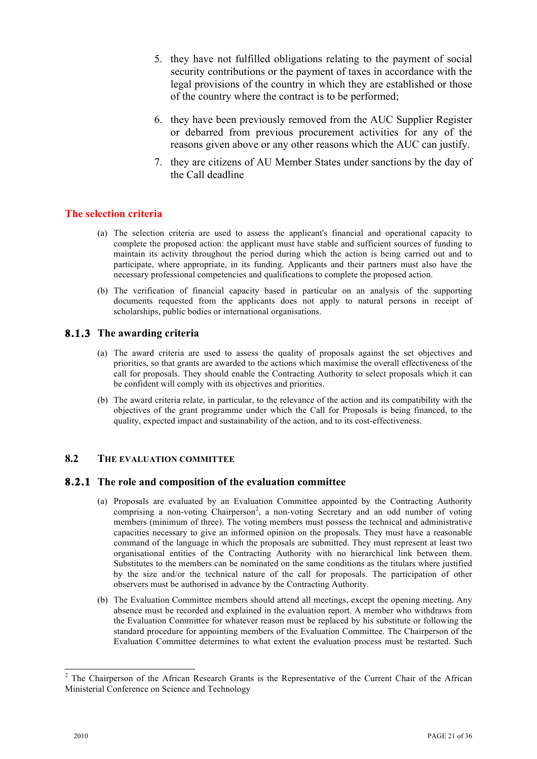- 5. they have not fulfilled obligations relating to the payment of social security contributions or the payment of taxes in accordance with the legal provisions of the country in which they are established or those of the country where the contract is to be performed;
- 6. they have been previously removed from the AUC Supplier Register or debarred from previous procurement activities for any of the reasons given above or any other reasons which the AUC can justify.
- 7. they are citizens of AU Member States under sanctions by the day of the Call deadline

## **The selection criteria**

- (a) The selection criteria are used to assess the applicant's financial and operational capacity to complete the proposed action: the applicant must have stable and sufficient sources of funding to maintain its activity throughout the period during which the action is being carried out and to participate, where appropriate, in its funding. Applicants and their partners must also have the necessary professional competencies and qualifications to complete the proposed action.
- (b) The verification of financial capacity based in particular on an analysis of the supporting documents requested from the applicants does not apply to natural persons in receipt of scholarships, public bodies or international organisations.

## **8.1.3 The awarding criteria**

- (a) The award criteria are used to assess the quality of proposals against the set objectives and priorities, so that grants are awarded to the actions which maximise the overall effectiveness of the call for proposals. They should enable the Contracting Authority to select proposals which it can be confident will comply with its objectives and priorities.
- (b) The award criteria relate, in particular, to the relevance of the action and its compatibility with the objectives of the grant programme under which the Call for Proposals is being financed, to the quality, expected impact and sustainability of the action, and to its cost-effectiveness.

## **8.2 THE EVALUATION COMMITTEE**

#### **8.2.1 The role and composition of the evaluation committee**

- (a) Proposals are evaluated by an Evaluation Committee appointed by the Contracting Authority comprising a non-voting Chairperson<sup>2</sup>, a non-voting Secretary and an odd number of voting members (minimum of three). The voting members must possess the technical and administrative capacities necessary to give an informed opinion on the proposals. They must have a reasonable command of the language in which the proposals are submitted. They must represent at least two organisational entities of the Contracting Authority with no hierarchical link between them. Substitutes to the members can be nominated on the same conditions as the titulars where justified by the size and/or the technical nature of the call for proposals. The participation of other observers must be authorised in advance by the Contracting Authority.
- (b) The Evaluation Committee members should attend all meetings, except the opening meeting. Any absence must be recorded and explained in the evaluation report. A member who withdraws from the Evaluation Committee for whatever reason must be replaced by his substitute or following the standard procedure for appointing members of the Evaluation Committee. The Chairperson of the Evaluation Committee determines to what extent the evaluation process must be restarted. Such

<sup>&</sup>lt;sup>2</sup> The Chairperson of the African Research Grants is the Representative of the Current Chair of the African Ministerial Conference on Science and Technology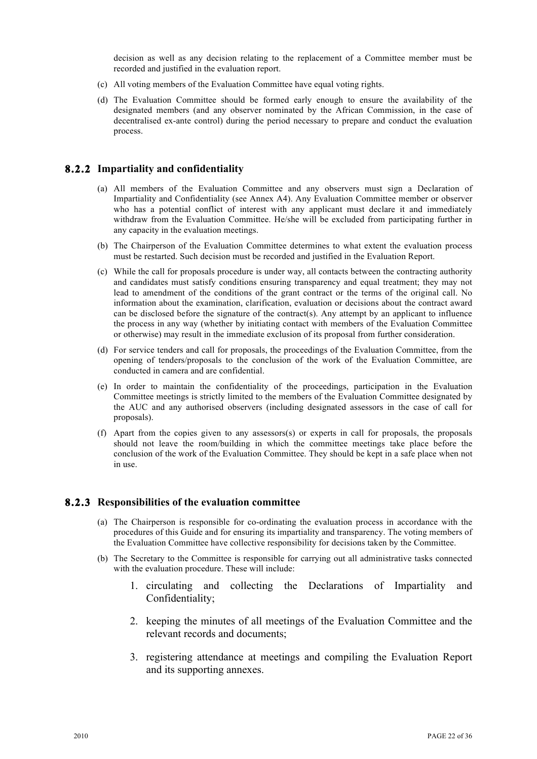decision as well as any decision relating to the replacement of a Committee member must be recorded and justified in the evaluation report.

- (c) All voting members of the Evaluation Committee have equal voting rights.
- (d) The Evaluation Committee should be formed early enough to ensure the availability of the designated members (and any observer nominated by the African Commission, in the case of decentralised ex-ante control) during the period necessary to prepare and conduct the evaluation process.

#### **8.2.2 Impartiality and confidentiality**

- (a) All members of the Evaluation Committee and any observers must sign a Declaration of Impartiality and Confidentiality (see Annex A4). Any Evaluation Committee member or observer who has a potential conflict of interest with any applicant must declare it and immediately withdraw from the Evaluation Committee. He/she will be excluded from participating further in any capacity in the evaluation meetings.
- (b) The Chairperson of the Evaluation Committee determines to what extent the evaluation process must be restarted. Such decision must be recorded and justified in the Evaluation Report.
- (c) While the call for proposals procedure is under way, all contacts between the contracting authority and candidates must satisfy conditions ensuring transparency and equal treatment; they may not lead to amendment of the conditions of the grant contract or the terms of the original call. No information about the examination, clarification, evaluation or decisions about the contract award can be disclosed before the signature of the contract(s). Any attempt by an applicant to influence the process in any way (whether by initiating contact with members of the Evaluation Committee or otherwise) may result in the immediate exclusion of its proposal from further consideration.
- (d) For service tenders and call for proposals, the proceedings of the Evaluation Committee, from the opening of tenders/proposals to the conclusion of the work of the Evaluation Committee, are conducted in camera and are confidential.
- (e) In order to maintain the confidentiality of the proceedings, participation in the Evaluation Committee meetings is strictly limited to the members of the Evaluation Committee designated by the AUC and any authorised observers (including designated assessors in the case of call for proposals).
- (f) Apart from the copies given to any assessors(s) or experts in call for proposals, the proposals should not leave the room/building in which the committee meetings take place before the conclusion of the work of the Evaluation Committee. They should be kept in a safe place when not in use.

#### **8.2.3 Responsibilities of the evaluation committee**

- (a) The Chairperson is responsible for co-ordinating the evaluation process in accordance with the procedures of this Guide and for ensuring its impartiality and transparency. The voting members of the Evaluation Committee have collective responsibility for decisions taken by the Committee.
- (b) The Secretary to the Committee is responsible for carrying out all administrative tasks connected with the evaluation procedure. These will include:
	- 1. circulating and collecting the Declarations of Impartiality and Confidentiality;
	- 2. keeping the minutes of all meetings of the Evaluation Committee and the relevant records and documents;
	- 3. registering attendance at meetings and compiling the Evaluation Report and its supporting annexes.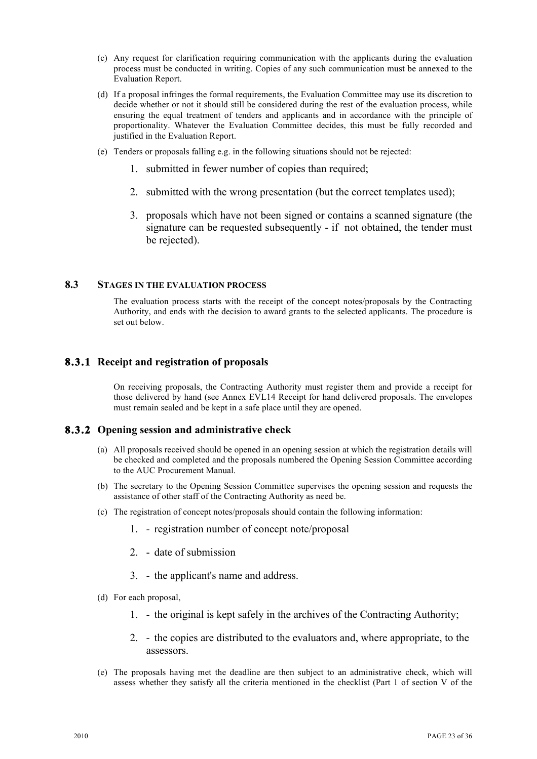- (c) Any request for clarification requiring communication with the applicants during the evaluation process must be conducted in writing. Copies of any such communication must be annexed to the Evaluation Report.
- (d) If a proposal infringes the formal requirements, the Evaluation Committee may use its discretion to decide whether or not it should still be considered during the rest of the evaluation process, while ensuring the equal treatment of tenders and applicants and in accordance with the principle of proportionality. Whatever the Evaluation Committee decides, this must be fully recorded and justified in the Evaluation Report.
- (e) Tenders or proposals falling e.g. in the following situations should not be rejected:
	- 1. submitted in fewer number of copies than required;
	- 2. submitted with the wrong presentation (but the correct templates used);
	- 3. proposals which have not been signed or contains a scanned signature (the signature can be requested subsequently - if not obtained, the tender must be rejected).

#### **8.3 STAGES IN THE EVALUATION PROCESS**

The evaluation process starts with the receipt of the concept notes/proposals by the Contracting Authority, and ends with the decision to award grants to the selected applicants. The procedure is set out below.

#### **8.3.1 Receipt and registration of proposals**

On receiving proposals, the Contracting Authority must register them and provide a receipt for those delivered by hand (see Annex EVL14 Receipt for hand delivered proposals. The envelopes must remain sealed and be kept in a safe place until they are opened.

#### **8.3.2 Opening session and administrative check**

- (a) All proposals received should be opened in an opening session at which the registration details will be checked and completed and the proposals numbered the Opening Session Committee according to the AUC Procurement Manual.
- (b) The secretary to the Opening Session Committee supervises the opening session and requests the assistance of other staff of the Contracting Authority as need be.
- (c) The registration of concept notes/proposals should contain the following information:
	- 1. registration number of concept note/proposal
	- 2. date of submission
	- 3. the applicant's name and address.
- (d) For each proposal,
	- 1. the original is kept safely in the archives of the Contracting Authority;
	- 2. the copies are distributed to the evaluators and, where appropriate, to the assessors.
- (e) The proposals having met the deadline are then subject to an administrative check, which will assess whether they satisfy all the criteria mentioned in the checklist (Part 1 of section V of the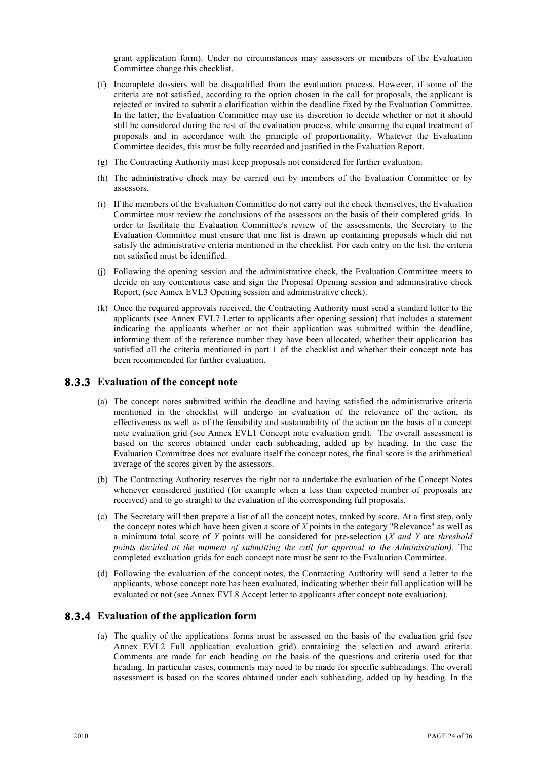grant application form). Under no circumstances may assessors or members of the Evaluation Committee change this checklist.

- (f) Incomplete dossiers will be disqualified from the evaluation process. However, if some of the criteria are not satisfied, according to the option chosen in the call for proposals, the applicant is rejected or invited to submit a clarification within the deadline fixed by the Evaluation Committee. In the latter, the Evaluation Committee may use its discretion to decide whether or not it should still be considered during the rest of the evaluation process, while ensuring the equal treatment of proposals and in accordance with the principle of proportionality. Whatever the Evaluation Committee decides, this must be fully recorded and justified in the Evaluation Report.
- (g) The Contracting Authority must keep proposals not considered for further evaluation.
- (h) The administrative check may be carried out by members of the Evaluation Committee or by assessors.
- (i) If the members of the Evaluation Committee do not carry out the check themselves, the Evaluation Committee must review the conclusions of the assessors on the basis of their completed grids. In order to facilitate the Evaluation Committee's review of the assessments, the Secretary to the Evaluation Committee must ensure that one list is drawn up containing proposals which did not satisfy the administrative criteria mentioned in the checklist. For each entry on the list, the criteria not satisfied must be identified.
- (j) Following the opening session and the administrative check, the Evaluation Committee meets to decide on any contentious case and sign the Proposal Opening session and administrative check Report, (see Annex EVL3 Opening session and administrative check).
- (k) Once the required approvals received, the Contracting Authority must send a standard letter to the applicants (see Annex EVL7 Letter to applicants after opening session) that includes a statement indicating the applicants whether or not their application was submitted within the deadline, informing them of the reference number they have been allocated, whether their application has satisfied all the criteria mentioned in part 1 of the checklist and whether their concept note has been recommended for further evaluation.

#### **8.3.3 Evaluation of the concept note**

- (a) The concept notes submitted within the deadline and having satisfied the administrative criteria mentioned in the checklist will undergo an evaluation of the relevance of the action, its effectiveness as well as of the feasibility and sustainability of the action on the basis of a concept note evaluation grid (see Annex EVL1 Concept note evaluation grid). The overall assessment is based on the scores obtained under each subheading, added up by heading. In the case the Evaluation Committee does not evaluate itself the concept notes, the final score is the arithmetical average of the scores given by the assessors.
- (b) The Contracting Authority reserves the right not to undertake the evaluation of the Concept Notes whenever considered justified (for example when a less than expected number of proposals are received) and to go straight to the evaluation of the corresponding full proposals.
- (c) The Secretary will then prepare a list of all the concept notes, ranked by score. At a first step, only the concept notes which have been given a score of *X* points in the category "Relevance" as well as a minimum total score of *Y* points will be considered for pre-selection (*X and Y* are *threshold points decided at the moment of submitting the call for approval to the Administration)*. The completed evaluation grids for each concept note must be sent to the Evaluation Committee.
- (d) Following the evaluation of the concept notes, the Contracting Authority will send a letter to the applicants, whose concept note has been evaluated, indicating whether their full application will be evaluated or not (see Annex EVL8 Accept letter to applicants after concept note evaluation).

#### **8.3.4 Evaluation of the application form**

(a) The quality of the applications forms must be assessed on the basis of the evaluation grid (see Annex EVL2 Full application evaluation grid) containing the selection and award criteria. Comments are made for each heading on the basis of the questions and criteria used for that heading. In particular cases, comments may need to be made for specific subheadings. The overall assessment is based on the scores obtained under each subheading, added up by heading. In the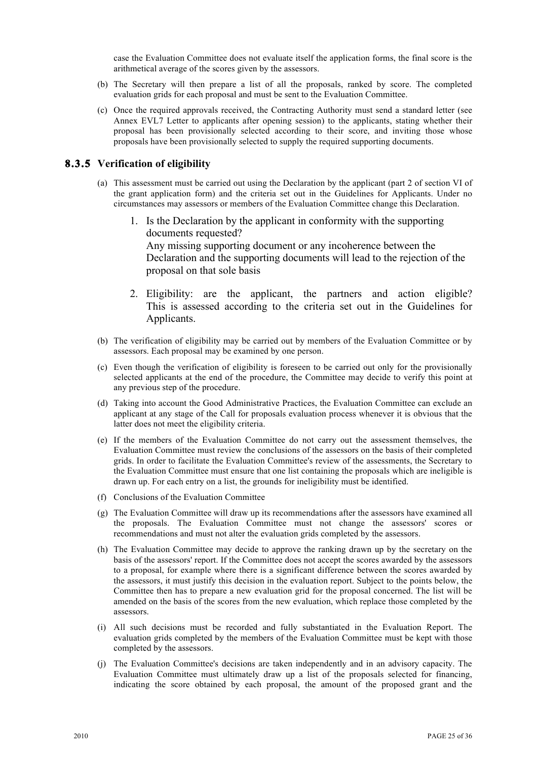case the Evaluation Committee does not evaluate itself the application forms, the final score is the arithmetical average of the scores given by the assessors.

- (b) The Secretary will then prepare a list of all the proposals, ranked by score. The completed evaluation grids for each proposal and must be sent to the Evaluation Committee.
- (c) Once the required approvals received, the Contracting Authority must send a standard letter (see Annex EVL7 Letter to applicants after opening session) to the applicants, stating whether their proposal has been provisionally selected according to their score, and inviting those whose proposals have been provisionally selected to supply the required supporting documents.

#### **8.3.5 Verification of eligibility**

- (a) This assessment must be carried out using the Declaration by the applicant (part 2 of section VI of the grant application form) and the criteria set out in the Guidelines for Applicants. Under no circumstances may assessors or members of the Evaluation Committee change this Declaration.
	- 1. Is the Declaration by the applicant in conformity with the supporting documents requested? Any missing supporting document or any incoherence between the

Declaration and the supporting documents will lead to the rejection of the proposal on that sole basis

- 2. Eligibility: are the applicant, the partners and action eligible? This is assessed according to the criteria set out in the Guidelines for Applicants.
- (b) The verification of eligibility may be carried out by members of the Evaluation Committee or by assessors. Each proposal may be examined by one person.
- (c) Even though the verification of eligibility is foreseen to be carried out only for the provisionally selected applicants at the end of the procedure, the Committee may decide to verify this point at any previous step of the procedure.
- (d) Taking into account the Good Administrative Practices, the Evaluation Committee can exclude an applicant at any stage of the Call for proposals evaluation process whenever it is obvious that the latter does not meet the eligibility criteria.
- (e) If the members of the Evaluation Committee do not carry out the assessment themselves, the Evaluation Committee must review the conclusions of the assessors on the basis of their completed grids. In order to facilitate the Evaluation Committee's review of the assessments, the Secretary to the Evaluation Committee must ensure that one list containing the proposals which are ineligible is drawn up. For each entry on a list, the grounds for ineligibility must be identified.
- (f) Conclusions of the Evaluation Committee
- (g) The Evaluation Committee will draw up its recommendations after the assessors have examined all the proposals. The Evaluation Committee must not change the assessors' scores or recommendations and must not alter the evaluation grids completed by the assessors.
- (h) The Evaluation Committee may decide to approve the ranking drawn up by the secretary on the basis of the assessors' report. If the Committee does not accept the scores awarded by the assessors to a proposal, for example where there is a significant difference between the scores awarded by the assessors, it must justify this decision in the evaluation report. Subject to the points below, the Committee then has to prepare a new evaluation grid for the proposal concerned. The list will be amended on the basis of the scores from the new evaluation, which replace those completed by the assessors.
- (i) All such decisions must be recorded and fully substantiated in the Evaluation Report. The evaluation grids completed by the members of the Evaluation Committee must be kept with those completed by the assessors.
- (j) The Evaluation Committee's decisions are taken independently and in an advisory capacity. The Evaluation Committee must ultimately draw up a list of the proposals selected for financing, indicating the score obtained by each proposal, the amount of the proposed grant and the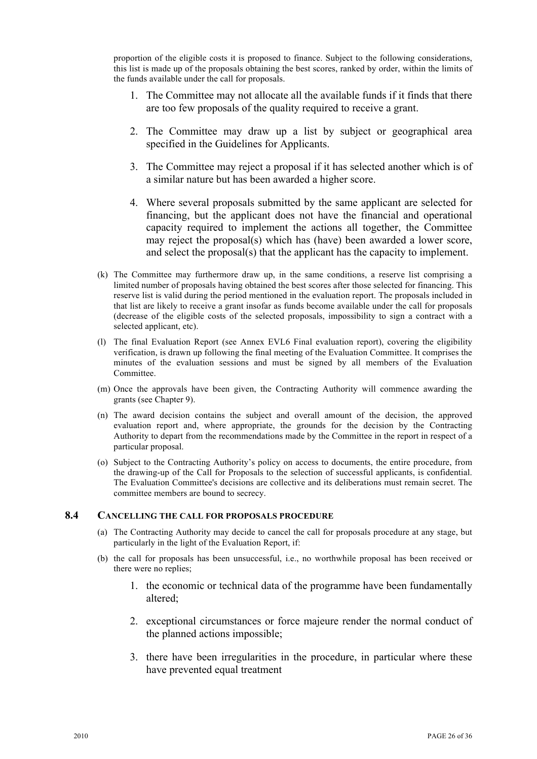proportion of the eligible costs it is proposed to finance. Subject to the following considerations, this list is made up of the proposals obtaining the best scores, ranked by order, within the limits of the funds available under the call for proposals.

- 1. The Committee may not allocate all the available funds if it finds that there are too few proposals of the quality required to receive a grant.
- 2. The Committee may draw up a list by subject or geographical area specified in the Guidelines for Applicants.
- 3. The Committee may reject a proposal if it has selected another which is of a similar nature but has been awarded a higher score.
- 4. Where several proposals submitted by the same applicant are selected for financing, but the applicant does not have the financial and operational capacity required to implement the actions all together, the Committee may reject the proposal(s) which has (have) been awarded a lower score, and select the proposal(s) that the applicant has the capacity to implement.
- (k) The Committee may furthermore draw up, in the same conditions, a reserve list comprising a limited number of proposals having obtained the best scores after those selected for financing. This reserve list is valid during the period mentioned in the evaluation report. The proposals included in that list are likely to receive a grant insofar as funds become available under the call for proposals (decrease of the eligible costs of the selected proposals, impossibility to sign a contract with a selected applicant, etc).
- (l) The final Evaluation Report (see Annex EVL6 Final evaluation report), covering the eligibility verification, is drawn up following the final meeting of the Evaluation Committee. It comprises the minutes of the evaluation sessions and must be signed by all members of the Evaluation Committee.
- (m) Once the approvals have been given, the Contracting Authority will commence awarding the grants (see Chapter 9).
- (n) The award decision contains the subject and overall amount of the decision, the approved evaluation report and, where appropriate, the grounds for the decision by the Contracting Authority to depart from the recommendations made by the Committee in the report in respect of a particular proposal.
- (o) Subject to the Contracting Authority's policy on access to documents, the entire procedure, from the drawing-up of the Call for Proposals to the selection of successful applicants, is confidential. The Evaluation Committee's decisions are collective and its deliberations must remain secret. The committee members are bound to secrecy.

#### **8.4 CANCELLING THE CALL FOR PROPOSALS PROCEDURE**

- (a) The Contracting Authority may decide to cancel the call for proposals procedure at any stage, but particularly in the light of the Evaluation Report, if:
- (b) the call for proposals has been unsuccessful, i.e., no worthwhile proposal has been received or there were no replies;
	- 1. the economic or technical data of the programme have been fundamentally altered;
	- 2. exceptional circumstances or force majeure render the normal conduct of the planned actions impossible;
	- 3. there have been irregularities in the procedure, in particular where these have prevented equal treatment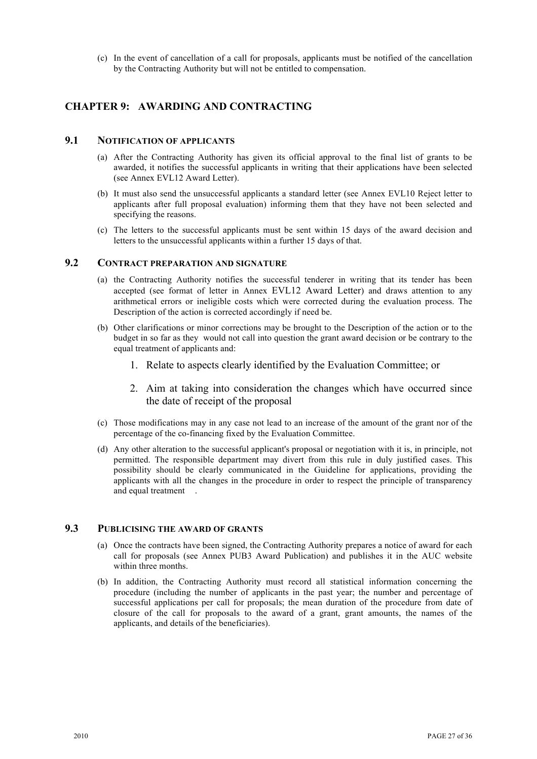(c) In the event of cancellation of a call for proposals, applicants must be notified of the cancellation by the Contracting Authority but will not be entitled to compensation.

## **CHAPTER 9: AWARDING AND CONTRACTING**

#### **9.1 NOTIFICATION OF APPLICANTS**

- (a) After the Contracting Authority has given its official approval to the final list of grants to be awarded, it notifies the successful applicants in writing that their applications have been selected (see Annex EVL12 Award Letter).
- (b) It must also send the unsuccessful applicants a standard letter (see Annex EVL10 Reject letter to applicants after full proposal evaluation) informing them that they have not been selected and specifying the reasons.
- (c) The letters to the successful applicants must be sent within 15 days of the award decision and letters to the unsuccessful applicants within a further 15 days of that.

#### **9.2 CONTRACT PREPARATION AND SIGNATURE**

- (a) the Contracting Authority notifies the successful tenderer in writing that its tender has been accepted (see format of letter in Annex EVL12 Award Letter) and draws attention to any arithmetical errors or ineligible costs which were corrected during the evaluation process. The Description of the action is corrected accordingly if need be.
- (b) Other clarifications or minor corrections may be brought to the Description of the action or to the budget in so far as they would not call into question the grant award decision or be contrary to the equal treatment of applicants and:
	- 1. Relate to aspects clearly identified by the Evaluation Committee; or
	- 2. Aim at taking into consideration the changes which have occurred since the date of receipt of the proposal
- (c) Those modifications may in any case not lead to an increase of the amount of the grant nor of the percentage of the co-financing fixed by the Evaluation Committee.
- (d) Any other alteration to the successful applicant's proposal or negotiation with it is, in principle, not permitted. The responsible department may divert from this rule in duly justified cases. This possibility should be clearly communicated in the Guideline for applications, providing the applicants with all the changes in the procedure in order to respect the principle of transparency and equal treatment

#### **9.3 PUBLICISING THE AWARD OF GRANTS**

- (a) Once the contracts have been signed, the Contracting Authority prepares a notice of award for each call for proposals (see Annex PUB3 Award Publication) and publishes it in the AUC website within three months.
- (b) In addition, the Contracting Authority must record all statistical information concerning the procedure (including the number of applicants in the past year; the number and percentage of successful applications per call for proposals; the mean duration of the procedure from date of closure of the call for proposals to the award of a grant, grant amounts, the names of the applicants, and details of the beneficiaries).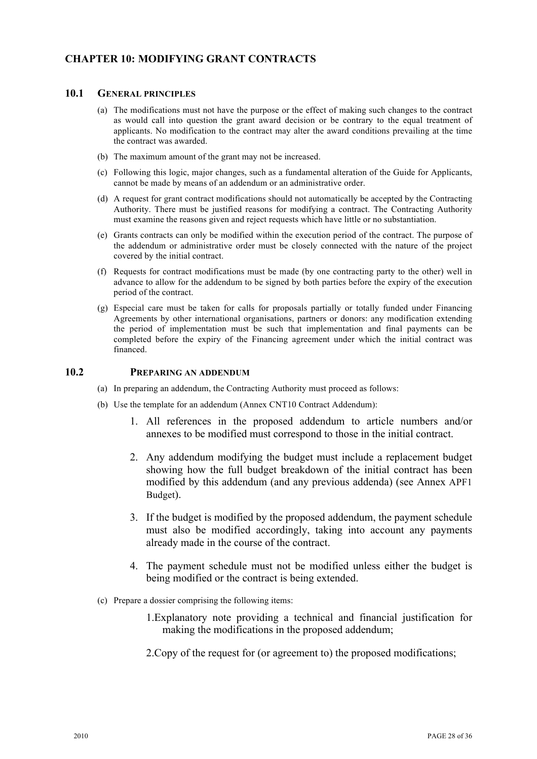## **CHAPTER 10: MODIFYING GRANT CONTRACTS**

#### **10.1 GENERAL PRINCIPLES**

- (a) The modifications must not have the purpose or the effect of making such changes to the contract as would call into question the grant award decision or be contrary to the equal treatment of applicants. No modification to the contract may alter the award conditions prevailing at the time the contract was awarded.
- (b) The maximum amount of the grant may not be increased.
- (c) Following this logic, major changes, such as a fundamental alteration of the Guide for Applicants, cannot be made by means of an addendum or an administrative order.
- (d) A request for grant contract modifications should not automatically be accepted by the Contracting Authority. There must be justified reasons for modifying a contract. The Contracting Authority must examine the reasons given and reject requests which have little or no substantiation.
- (e) Grants contracts can only be modified within the execution period of the contract. The purpose of the addendum or administrative order must be closely connected with the nature of the project covered by the initial contract.
- (f) Requests for contract modifications must be made (by one contracting party to the other) well in advance to allow for the addendum to be signed by both parties before the expiry of the execution period of the contract.
- (g) Especial care must be taken for calls for proposals partially or totally funded under Financing Agreements by other international organisations, partners or donors: any modification extending the period of implementation must be such that implementation and final payments can be completed before the expiry of the Financing agreement under which the initial contract was financed.

#### **10.2 PREPARING AN ADDENDUM**

- (a) In preparing an addendum, the Contracting Authority must proceed as follows:
- (b) Use the template for an addendum (Annex CNT10 Contract Addendum):
	- 1. All references in the proposed addendum to article numbers and/or annexes to be modified must correspond to those in the initial contract.
	- 2. Any addendum modifying the budget must include a replacement budget showing how the full budget breakdown of the initial contract has been modified by this addendum (and any previous addenda) (see Annex APF1 Budget).
	- 3. If the budget is modified by the proposed addendum, the payment schedule must also be modified accordingly, taking into account any payments already made in the course of the contract.
	- 4. The payment schedule must not be modified unless either the budget is being modified or the contract is being extended.
- (c) Prepare a dossier comprising the following items:
	- 1.Explanatory note providing a technical and financial justification for making the modifications in the proposed addendum;

2.Copy of the request for (or agreement to) the proposed modifications;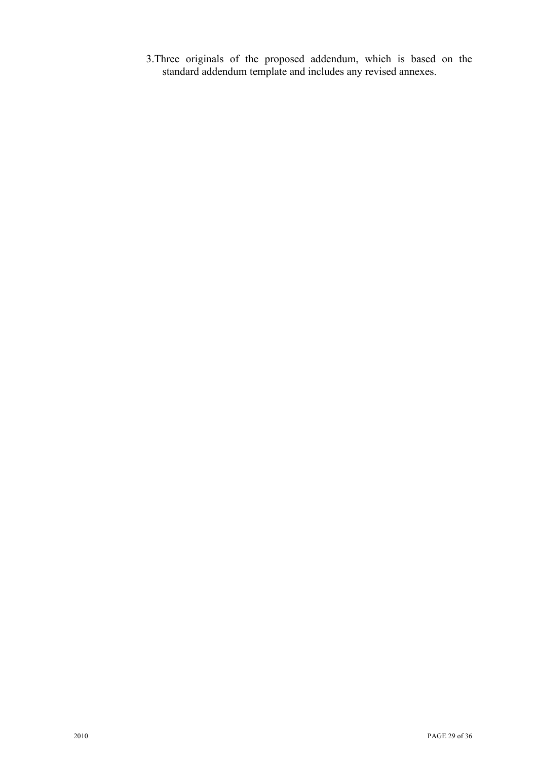3.Three originals of the proposed addendum, which is based on the standard addendum template and includes any revised annexes.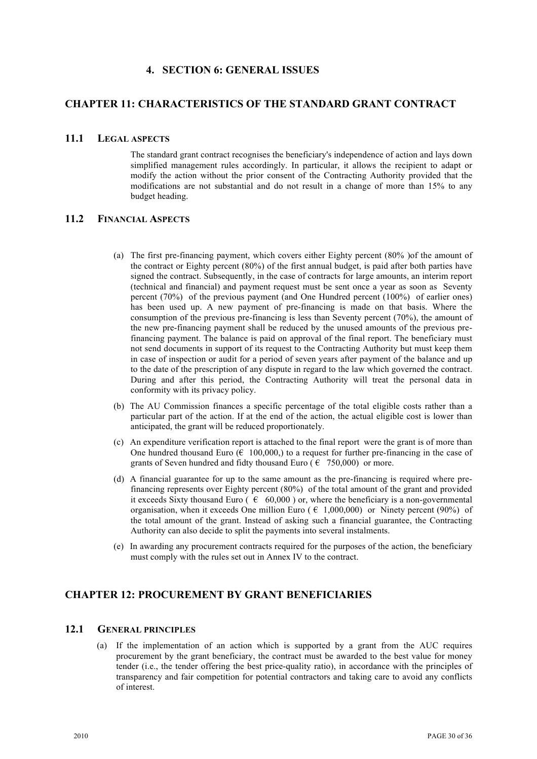## **4. SECTION 6: GENERAL ISSUES**

#### **CHAPTER 11: CHARACTERISTICS OF THE STANDARD GRANT CONTRACT**

#### **11.1 LEGAL ASPECTS**

The standard grant contract recognises the beneficiary's independence of action and lays down simplified management rules accordingly. In particular, it allows the recipient to adapt or modify the action without the prior consent of the Contracting Authority provided that the modifications are not substantial and do not result in a change of more than 15% to any budget heading.

#### **11.2 FINANCIAL ASPECTS**

- (a) The first pre-financing payment, which covers either Eighty percent (80% )of the amount of the contract or Eighty percent (80%) of the first annual budget, is paid after both parties have signed the contract. Subsequently, in the case of contracts for large amounts, an interim report (technical and financial) and payment request must be sent once a year as soon as Seventy percent (70%) of the previous payment (and One Hundred percent (100%) of earlier ones) has been used up. A new payment of pre-financing is made on that basis. Where the consumption of the previous pre-financing is less than Seventy percent (70%), the amount of the new pre-financing payment shall be reduced by the unused amounts of the previous prefinancing payment. The balance is paid on approval of the final report. The beneficiary must not send documents in support of its request to the Contracting Authority but must keep them in case of inspection or audit for a period of seven years after payment of the balance and up to the date of the prescription of any dispute in regard to the law which governed the contract. During and after this period, the Contracting Authority will treat the personal data in conformity with its privacy policy.
- (b) The AU Commission finances a specific percentage of the total eligible costs rather than a particular part of the action. If at the end of the action, the actual eligible cost is lower than anticipated, the grant will be reduced proportionately.
- (c) An expenditure verification report is attached to the final report were the grant is of more than One hundred thousand Euro ( $\epsilon$  100,000) to a request for further pre-financing in the case of grants of Seven hundred and fidty thousand Euro ( $\epsilon$  750,000) or more.
- (d) A financial guarantee for up to the same amount as the pre-financing is required where prefinancing represents over Eighty percent (80%) of the total amount of the grant and provided it exceeds Sixty thousand Euro ( $\epsilon$  60,000) or, where the beneficiary is a non-governmental organisation, when it exceeds One million Euro ( $\epsilon$  1,000,000) or Ninety percent (90%) of the total amount of the grant. Instead of asking such a financial guarantee, the Contracting Authority can also decide to split the payments into several instalments.
- (e) In awarding any procurement contracts required for the purposes of the action, the beneficiary must comply with the rules set out in Annex IV to the contract.

#### **CHAPTER 12: PROCUREMENT BY GRANT BENEFICIARIES**

#### **12.1 GENERAL PRINCIPLES**

(a) If the implementation of an action which is supported by a grant from the AUC requires procurement by the grant beneficiary, the contract must be awarded to the best value for money tender (i.e., the tender offering the best price-quality ratio), in accordance with the principles of transparency and fair competition for potential contractors and taking care to avoid any conflicts of interest.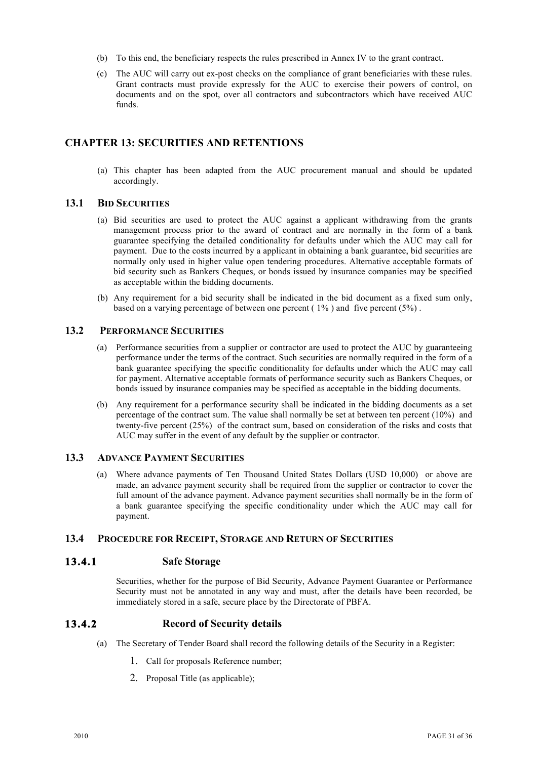- (b) To this end, the beneficiary respects the rules prescribed in Annex IV to the grant contract.
- (c) The AUC will carry out ex-post checks on the compliance of grant beneficiaries with these rules. Grant contracts must provide expressly for the AUC to exercise their powers of control, on documents and on the spot, over all contractors and subcontractors which have received AUC funds.

#### **CHAPTER 13: SECURITIES AND RETENTIONS**

(a) This chapter has been adapted from the AUC procurement manual and should be updated accordingly.

#### **13.1 BID SECURITIES**

- (a) Bid securities are used to protect the AUC against a applicant withdrawing from the grants management process prior to the award of contract and are normally in the form of a bank guarantee specifying the detailed conditionality for defaults under which the AUC may call for payment. Due to the costs incurred by a applicant in obtaining a bank guarantee, bid securities are normally only used in higher value open tendering procedures. Alternative acceptable formats of bid security such as Bankers Cheques, or bonds issued by insurance companies may be specified as acceptable within the bidding documents.
- (b) Any requirement for a bid security shall be indicated in the bid document as a fixed sum only, based on a varying percentage of between one percent ( 1% ) and five percent (5%) .

#### **13.2 PERFORMANCE SECURITIES**

- (a) Performance securities from a supplier or contractor are used to protect the AUC by guaranteeing performance under the terms of the contract. Such securities are normally required in the form of a bank guarantee specifying the specific conditionality for defaults under which the AUC may call for payment. Alternative acceptable formats of performance security such as Bankers Cheques, or bonds issued by insurance companies may be specified as acceptable in the bidding documents.
- (b) Any requirement for a performance security shall be indicated in the bidding documents as a set percentage of the contract sum. The value shall normally be set at between ten percent (10%) and twenty-five percent (25%) of the contract sum, based on consideration of the risks and costs that AUC may suffer in the event of any default by the supplier or contractor.

#### **13.3 ADVANCE PAYMENT SECURITIES**

(a) Where advance payments of Ten Thousand United States Dollars (USD 10,000) or above are made, an advance payment security shall be required from the supplier or contractor to cover the full amount of the advance payment. Advance payment securities shall normally be in the form of a bank guarantee specifying the specific conditionality under which the AUC may call for payment.

#### **13.4 PROCEDURE FOR RECEIPT, STORAGE AND RETURN OF SECURITIES**

#### **13.4.1 Safe Storage**

Securities, whether for the purpose of Bid Security, Advance Payment Guarantee or Performance Security must not be annotated in any way and must, after the details have been recorded, be immediately stored in a safe, secure place by the Directorate of PBFA.

#### **13.4.2 Record of Security details**

- (a) The Secretary of Tender Board shall record the following details of the Security in a Register:
	- 1. Call for proposals Reference number;
	- 2. Proposal Title (as applicable);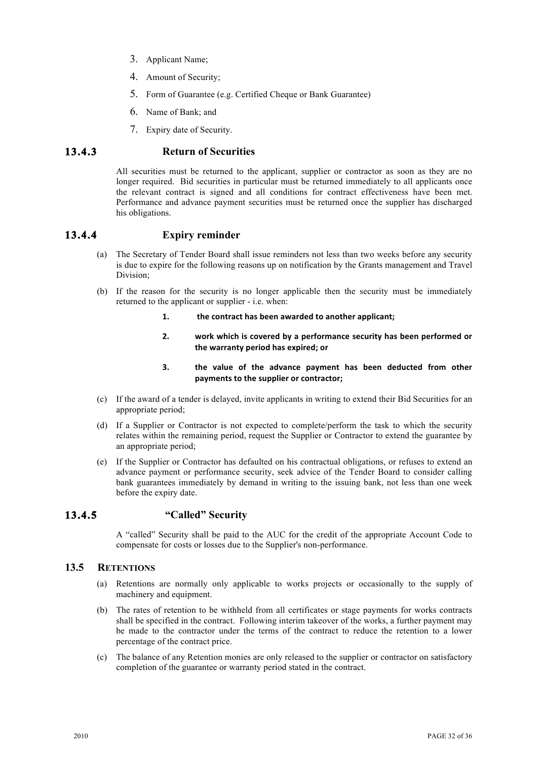- 3. Applicant Name;
- 4. Amount of Security;
- 5. Form of Guarantee (e.g. Certified Cheque or Bank Guarantee)
- 6. Name of Bank; and
- 7. Expiry date of Security.

## **13.4.3 Return of Securities**

All securities must be returned to the applicant, supplier or contractor as soon as they are no longer required. Bid securities in particular must be returned immediately to all applicants once the relevant contract is signed and all conditions for contract effectiveness have been met. Performance and advance payment securities must be returned once the supplier has discharged his obligations.

## **13.4.4 Expiry reminder**

- (a) The Secretary of Tender Board shall issue reminders not less than two weeks before any security is due to expire for the following reasons up on notification by the Grants management and Travel Division;
- (b) If the reason for the security is no longer applicable then the security must be immediately returned to the applicant or supplier - i.e. when:
	- **1. the contract has been awarded to another applicant:**
	- **2. work** which is covered by a performance security has been performed or the warranty period has expired; or
	- **3. the value of the advance payment has been deducted from other** payments to the supplier or contractor;
- (c) If the award of a tender is delayed, invite applicants in writing to extend their Bid Securities for an appropriate period;
- (d) If a Supplier or Contractor is not expected to complete/perform the task to which the security relates within the remaining period, request the Supplier or Contractor to extend the guarantee by an appropriate period;
- (e) If the Supplier or Contractor has defaulted on his contractual obligations, or refuses to extend an advance payment or performance security, seek advice of the Tender Board to consider calling bank guarantees immediately by demand in writing to the issuing bank, not less than one week before the expiry date.

## **13.4.5 "Called" Security**

A "called" Security shall be paid to the AUC for the credit of the appropriate Account Code to compensate for costs or losses due to the Supplier's non-performance.

## **13.5 RETENTIONS**

- (a) Retentions are normally only applicable to works projects or occasionally to the supply of machinery and equipment.
- (b) The rates of retention to be withheld from all certificates or stage payments for works contracts shall be specified in the contract. Following interim takeover of the works, a further payment may be made to the contractor under the terms of the contract to reduce the retention to a lower percentage of the contract price.
- (c) The balance of any Retention monies are only released to the supplier or contractor on satisfactory completion of the guarantee or warranty period stated in the contract.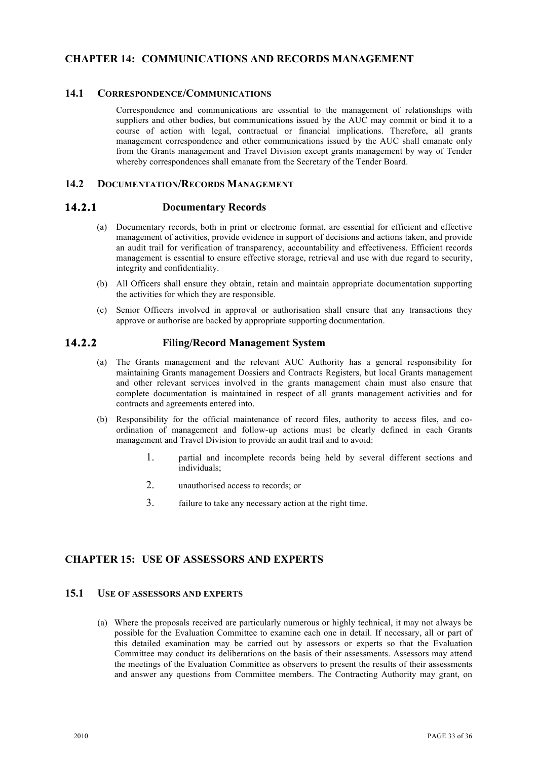## **CHAPTER 14: COMMUNICATIONS AND RECORDS MANAGEMENT**

#### **14.1 CORRESPONDENCE/COMMUNICATIONS**

Correspondence and communications are essential to the management of relationships with suppliers and other bodies, but communications issued by the AUC may commit or bind it to a course of action with legal, contractual or financial implications. Therefore, all grants management correspondence and other communications issued by the AUC shall emanate only from the Grants management and Travel Division except grants management by way of Tender whereby correspondences shall emanate from the Secretary of the Tender Board.

#### **14.2 DOCUMENTATION/RECORDS MANAGEMENT**

#### **14.2.1 Documentary Records**

- (a) Documentary records, both in print or electronic format, are essential for efficient and effective management of activities, provide evidence in support of decisions and actions taken, and provide an audit trail for verification of transparency, accountability and effectiveness. Efficient records management is essential to ensure effective storage, retrieval and use with due regard to security, integrity and confidentiality.
- (b) All Officers shall ensure they obtain, retain and maintain appropriate documentation supporting the activities for which they are responsible.
- (c) Senior Officers involved in approval or authorisation shall ensure that any transactions they approve or authorise are backed by appropriate supporting documentation.

#### **14.2.2 Filing/Record Management System**

- (a) The Grants management and the relevant AUC Authority has a general responsibility for maintaining Grants management Dossiers and Contracts Registers, but local Grants management and other relevant services involved in the grants management chain must also ensure that complete documentation is maintained in respect of all grants management activities and for contracts and agreements entered into.
- (b) Responsibility for the official maintenance of record files, authority to access files, and coordination of management and follow-up actions must be clearly defined in each Grants management and Travel Division to provide an audit trail and to avoid:
	- 1. partial and incomplete records being held by several different sections and individuals;
	- 2. unauthorised access to records; or
	- 3. failure to take any necessary action at the right time.

## **CHAPTER 15: USE OF ASSESSORS AND EXPERTS**

#### **15.1 USE OF ASSESSORS AND EXPERTS**

(a) Where the proposals received are particularly numerous or highly technical, it may not always be possible for the Evaluation Committee to examine each one in detail. If necessary, all or part of this detailed examination may be carried out by assessors or experts so that the Evaluation Committee may conduct its deliberations on the basis of their assessments. Assessors may attend the meetings of the Evaluation Committee as observers to present the results of their assessments and answer any questions from Committee members. The Contracting Authority may grant, on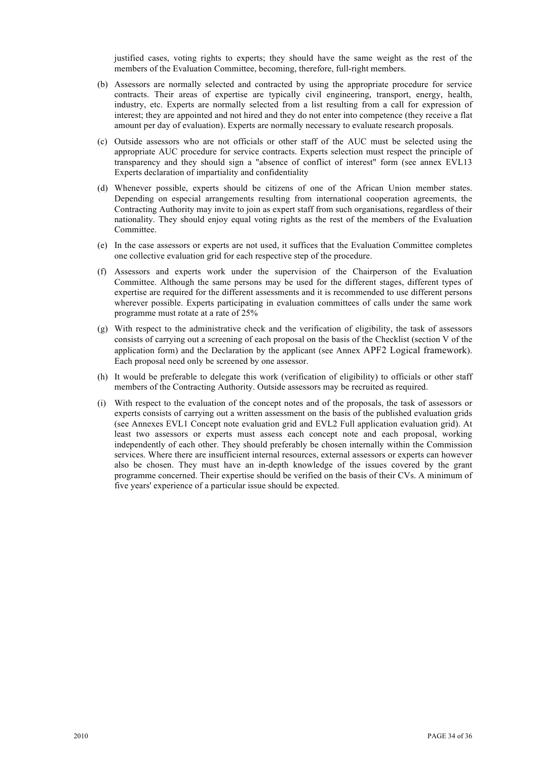justified cases, voting rights to experts; they should have the same weight as the rest of the members of the Evaluation Committee, becoming, therefore, full-right members.

- (b) Assessors are normally selected and contracted by using the appropriate procedure for service contracts. Their areas of expertise are typically civil engineering, transport, energy, health, industry, etc. Experts are normally selected from a list resulting from a call for expression of interest; they are appointed and not hired and they do not enter into competence (they receive a flat amount per day of evaluation). Experts are normally necessary to evaluate research proposals.
- (c) Outside assessors who are not officials or other staff of the AUC must be selected using the appropriate AUC procedure for service contracts. Experts selection must respect the principle of transparency and they should sign a "absence of conflict of interest" form (see annex EVL13 Experts declaration of impartiality and confidentiality
- (d) Whenever possible, experts should be citizens of one of the African Union member states. Depending on especial arrangements resulting from international cooperation agreements, the Contracting Authority may invite to join as expert staff from such organisations, regardless of their nationality. They should enjoy equal voting rights as the rest of the members of the Evaluation Committee.
- (e) In the case assessors or experts are not used, it suffices that the Evaluation Committee completes one collective evaluation grid for each respective step of the procedure.
- (f) Assessors and experts work under the supervision of the Chairperson of the Evaluation Committee. Although the same persons may be used for the different stages, different types of expertise are required for the different assessments and it is recommended to use different persons wherever possible. Experts participating in evaluation committees of calls under the same work programme must rotate at a rate of 25%
- (g) With respect to the administrative check and the verification of eligibility, the task of assessors consists of carrying out a screening of each proposal on the basis of the Checklist (section V of the application form) and the Declaration by the applicant (see Annex APF2 Logical framework). Each proposal need only be screened by one assessor.
- (h) It would be preferable to delegate this work (verification of eligibility) to officials or other staff members of the Contracting Authority. Outside assessors may be recruited as required.
- (i) With respect to the evaluation of the concept notes and of the proposals, the task of assessors or experts consists of carrying out a written assessment on the basis of the published evaluation grids (see Annexes EVL1 Concept note evaluation grid and EVL2 Full application evaluation grid). At least two assessors or experts must assess each concept note and each proposal, working independently of each other. They should preferably be chosen internally within the Commission services. Where there are insufficient internal resources, external assessors or experts can however also be chosen. They must have an in-depth knowledge of the issues covered by the grant programme concerned. Their expertise should be verified on the basis of their CVs. A minimum of five years' experience of a particular issue should be expected.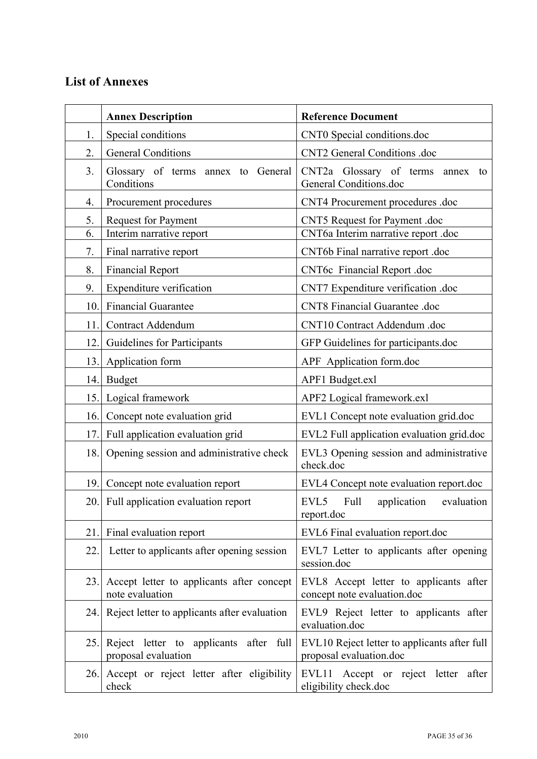## **List of Annexes**

|          | <b>Annex Description</b>                                      | <b>Reference Document</b>                                               |
|----------|---------------------------------------------------------------|-------------------------------------------------------------------------|
| 1.       | Special conditions                                            | CNT0 Special conditions.doc                                             |
| 2.       | <b>General Conditions</b>                                     | CNT2 General Conditions .doc                                            |
| 3.       | Glossary of terms<br>annex to General<br>Conditions           | CNT2a Glossary of terms<br>annex<br>to<br>General Conditions.doc        |
| 4.       | Procurement procedures                                        | CNT4 Procurement procedures .doc                                        |
| 5.<br>6. | Request for Payment<br>Interim narrative report               | CNT5 Request for Payment .doc<br>CNT6a Interim narrative report .doc    |
| 7.       | Final narrative report                                        | CNT6b Final narrative report .doc                                       |
| 8.       | <b>Financial Report</b>                                       | CNT6c Financial Report .doc                                             |
| 9.       | Expenditure verification                                      | CNT7 Expenditure verification .doc                                      |
| 10.      | <b>Financial Guarantee</b>                                    | CNT8 Financial Guarantee .doc                                           |
| 11.      | Contract Addendum                                             | CNT10 Contract Addendum .doc                                            |
| 12.      | Guidelines for Participants                                   | GFP Guidelines for participants.doc                                     |
| 13.      | Application form                                              | APF Application form.doc                                                |
| 14.      | <b>Budget</b>                                                 | APF1 Budget.exl                                                         |
| 15.      | Logical framework                                             | APF2 Logical framework.exl                                              |
| 16.      | Concept note evaluation grid                                  | EVL1 Concept note evaluation grid.doc                                   |
| 17.      | Full application evaluation grid                              | EVL2 Full application evaluation grid.doc                               |
| 18.      | Opening session and administrative check                      | EVL3 Opening session and administrative<br>check.doc                    |
| 19.      | Concept note evaluation report                                | EVL4 Concept note evaluation report.doc                                 |
| 20.      | Full application evaluation report                            | EVL5<br>Full<br>evaluation<br>application<br>report.doc                 |
| 21.      | Final evaluation report                                       | EVL6 Final evaluation report.doc                                        |
| 22.      | Letter to applicants after opening session                    | EVL7 Letter to applicants after opening<br>session.doc                  |
| 23.      | Accept letter to applicants after concept<br>note evaluation  | EVL8 Accept letter to applicants after<br>concept note evaluation.doc   |
| 24.      | Reject letter to applicants after evaluation                  | EVL9 Reject letter to applicants after<br>evaluation.doc                |
| 25.      | Reject letter to applicants after full<br>proposal evaluation | EVL10 Reject letter to applicants after full<br>proposal evaluation.doc |
|          | 26. Accept or reject letter after eligibility<br>check        | EVL11 Accept or reject letter<br>after<br>eligibility check.doc         |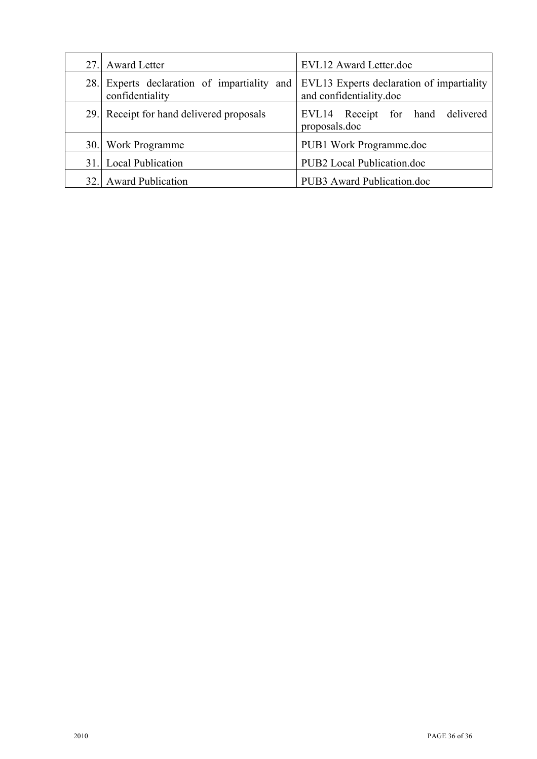|     | 27. Award Letter                                               | EVL12 Award Letter.doc                                               |
|-----|----------------------------------------------------------------|----------------------------------------------------------------------|
|     | 28. Experts declaration of impartiality and<br>confidentiality | EVL13 Experts declaration of impartiality<br>and confidentiality.doc |
|     | 29. Receipt for hand delivered proposals                       | EVL14 Receipt for hand delivered<br>proposals.doc                    |
|     | 30. Work Programme                                             | PUB1 Work Programme.doc                                              |
|     | 31. Local Publication                                          | <b>PUB2</b> Local Publication.doc                                    |
| 32. | <b>Award Publication</b>                                       | <b>PUB3</b> Award Publication.doc                                    |